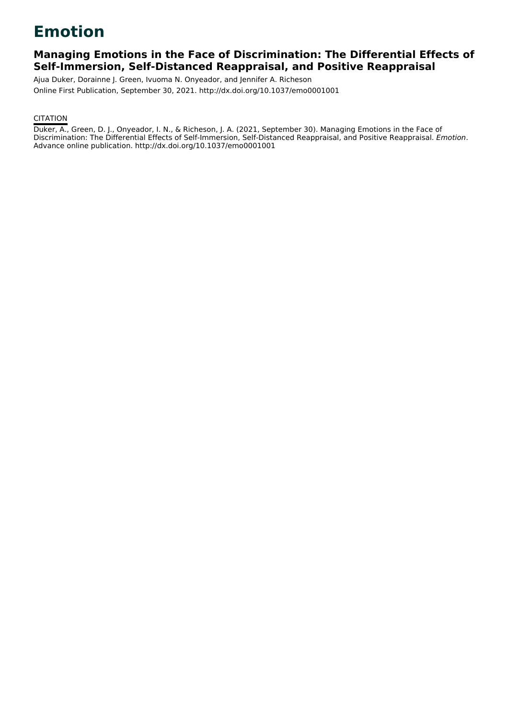# **Emotion**

### **Managing Emotions in the Face of Discrimination: The Differential Effects of Self-Immersion, Self-Distanced Reappraisal, and Positive Reappraisal**

Ajua Duker, Dorainne J. Green, Ivuoma N. Onyeador, and Jennifer A. Richeson Online First Publication, September 30, 2021. http://dx.doi.org/10.1037/emo0001001

### **CITATION**

Duker, A., Green, D. J., Onyeador, I. N., & Richeson, J. A. (2021, September 30). Managing Emotions in the Face of Discrimination: The Differential Effects of Self-Immersion, Self-Distanced Reappraisal, and Positive Reappraisal. Emotion. Advance online publication. http://dx.doi.org/10.1037/emo0001001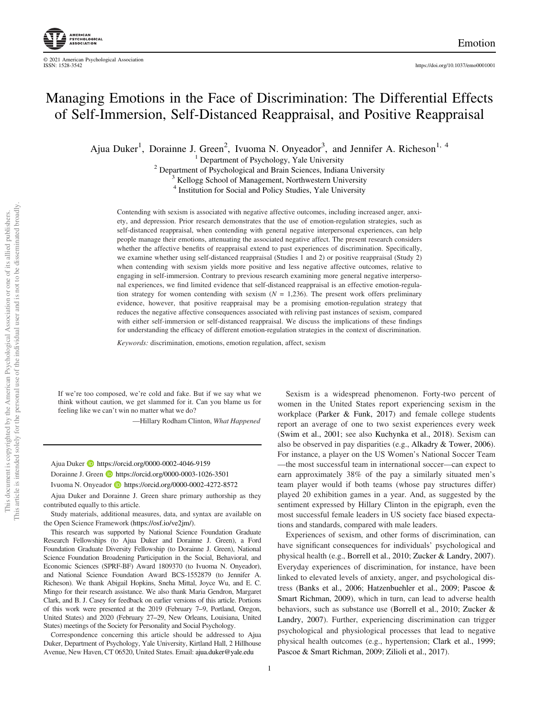## Managing Emotions in the Face of Discrimination: The Differential Effects of Self-Immersion, Self-Distanced Reappraisal, and Positive Reappraisal

Ajua Duker<sup>1</sup>, Dorainne J. Green<sup>2</sup>, Ivuoma N. Onyeador<sup>3</sup>, and Jennifer A. Richeson<sup>1, 4</sup>

<sup>1</sup> Department of Psychology, Yale University <sup>2</sup> Department of Psychological and Brain Sciences, Indiana University <sup>3</sup> Kellogg School of Management, Northwestern University

<sup>4</sup> Institution for Social and Policy Studies, Yale University

Contending with sexism is associated with negative affective outcomes, including increased anger, anxiety, and depression. Prior research demonstrates that the use of emotion-regulation strategies, such as self-distanced reappraisal, when contending with general negative interpersonal experiences, can help people manage their emotions, attenuating the associated negative affect. The present research considers whether the affective benefits of reappraisal extend to past experiences of discrimination. Specifically, we examine whether using self-distanced reappraisal (Studies 1 and 2) or positive reappraisal (Study 2) when contending with sexism yields more positive and less negative affective outcomes, relative to engaging in self-immersion. Contrary to previous research examining more general negative interpersonal experiences, we find limited evidence that self-distanced reappraisal is an effective emotion-regulation strategy for women contending with sexism ( $N = 1,236$ ). The present work offers preliminary evidence, however, that positive reappraisal may be a promising emotion-regulation strategy that reduces the negative affective consequences associated with reliving past instances of sexism, compared with either self-immersion or self-distanced reappraisal. We discuss the implications of these findings for understanding the efficacy of different emotion-regulation strategies in the context of discrimination.

Keywords: discrimination, emotions, emotion regulation, affect, sexism

If we're too composed, we're cold and fake. But if we say what we think without caution, we get slammed for it. Can you blame us for feeling like we can't win no matter what we do?

—Hillary Rodham Clinton, What Happened

#### Ajua Duker **<https://orcid.org/0000-0002-4046-9159>**

Dorainne J. Green **b** <https://orcid.org/0000-0003-1026-3501>

Ivuoma N. Onyeador **b**<https://orcid.org/0000-0002-4272-8572>

Ajua Duker and Dorainne J. Green share primary authorship as they contributed equally to this article.

Study materials, additional measures, data, and syntax are available on the Open Science Framework [\(https://osf.io/ve2jm/\)](https://osf.io/ve2jm/).

This research was supported by National Science Foundation Graduate Research Fellowships (to Ajua Duker and Dorainne J. Green), a Ford Foundation Graduate Diversity Fellowship (to Dorainne J. Green), National Science Foundation Broadening Participation in the Social, Behavioral, and Economic Sciences (SPRF-BF) Award 1809370 (to Ivuoma N. Onyeador), and National Science Foundation Award BCS-1552879 (to Jennifer A. Richeson). We thank Abigail Hopkins, Sneha Mittal, Joyce Wu, and E. C. Mingo for their research assistance. We also thank Maria Gendron, Margaret Clark, and B. J. Casey for feedback on earlier versions of this article. Portions of this work were presented at the 2019 (February 7–9, Portland, Oregon, United States) and 2020 (February 27–29, New Orleans, Louisiana, United States) meetings of the Society for Personality and Social Psychology.

Correspondence concerning this article should be addressed to Ajua Duker, Department of Psychology, Yale University, Kirtland Hall, 2 Hillhouse Avenue, New Haven, CT 06520, United States. Email: [ajua.duker@yale.edu](mailto:ajua.duker@yale.edu)

Sexism is a widespread phenomenon. Forty-two percent of women in the United States report experiencing sexism in the workplace (Parker & Funk, 2017) and female college students report an average of one to two sexist experiences every week (Swim et al., 2001; see also Kuchynka et al., 2018). Sexism can also be observed in pay disparities (e.g., Alkadry & Tower, 2006). For instance, a player on the US Women's National Soccer Team —the most successful team in international soccer—can expect to earn approximately 38% of the pay a similarly situated men's team player would if both teams (whose pay structures differ) played 20 exhibition games in a year. And, as suggested by the sentiment expressed by Hillary Clinton in the epigraph, even the most successful female leaders in US society face biased expectations and standards, compared with male leaders.

Experiences of sexism, and other forms of discrimination, can have significant consequences for individuals' psychological and physical health (e.g., Borrell et al., 2010; Zucker & Landry, 2007). Everyday experiences of discrimination, for instance, have been linked to elevated levels of anxiety, anger, and psychological distress (Banks et al., 2006; Hatzenbuehler et al., 2009; Pascoe & Smart Richman, 2009), which in turn, can lead to adverse health behaviors, such as substance use (Borrell et al., 2010; Zucker & Landry, 2007). Further, experiencing discrimination can trigger psychological and physiological processes that lead to negative physical health outcomes (e.g., hypertension; Clark et al., 1999; Pascoe & Smart Richman, 2009; Zilioli et al., 2017).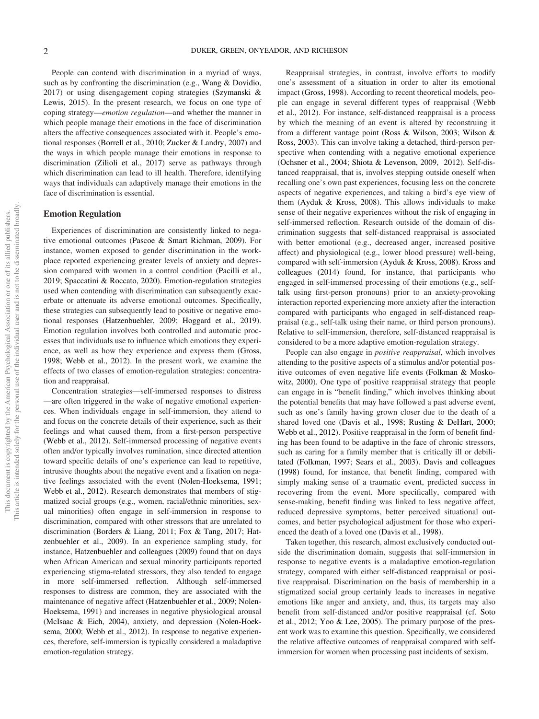People can contend with discrimination in a myriad of ways, such as by confronting the discrimination (e.g., Wang & Dovidio, 2017) or using disengagement coping strategies (Szymanski & Lewis, 2015). In the present research, we focus on one type of coping strategy—emotion regulation—and whether the manner in which people manage their emotions in the face of discrimination alters the affective consequences associated with it. People's emotional responses (Borrell et al., 2010; Zucker & Landry, 2007) and the ways in which people manage their emotions in response to discrimination (Zilioli et al., 2017) serve as pathways through which discrimination can lead to ill health. Therefore, identifying ways that individuals can adaptively manage their emotions in the face of discrimination is essential.

#### Emotion Regulation

Experiences of discrimination are consistently linked to negative emotional outcomes (Pascoe & Smart Richman, 2009). For instance, women exposed to gender discrimination in the workplace reported experiencing greater levels of anxiety and depression compared with women in a control condition (Pacilli et al., 2019; Spaccatini & Roccato, 2020). Emotion-regulation strategies used when contending with discrimination can subsequently exacerbate or attenuate its adverse emotional outcomes. Specifically, these strategies can subsequently lead to positive or negative emotional responses (Hatzenbuehler, 2009; Hoggard et al., 2019). Emotion regulation involves both controlled and automatic processes that individuals use to influence which emotions they experience, as well as how they experience and express them (Gross, 1998; Webb et al., 2012). In the present work, we examine the effects of two classes of emotion-regulation strategies: concentration and reappraisal.

Concentration strategies—self-immersed responses to distress —are often triggered in the wake of negative emotional experiences. When individuals engage in self-immersion, they attend to and focus on the concrete details of their experience, such as their feelings and what caused them, from a first-person perspective (Webb et al., 2012). Self-immersed processing of negative events often and/or typically involves rumination, since directed attention toward specific details of one's experience can lead to repetitive, intrusive thoughts about the negative event and a fixation on negative feelings associated with the event (Nolen-Hoeksema, 1991; Webb et al., 2012). Research demonstrates that members of stigmatized social groups (e.g., women, racial/ethnic minorities, sexual minorities) often engage in self-immersion in response to discrimination, compared with other stressors that are unrelated to discrimination (Borders & Liang, 2011; Fox & Tang, 2017; Hatzenbuehler et al., 2009). In an experience sampling study, for instance, Hatzenbuehler and colleagues (2009) found that on days when African American and sexual minority participants reported experiencing stigma-related stressors, they also tended to engage in more self-immersed reflection. Although self-immersed responses to distress are common, they are associated with the maintenance of negative affect (Hatzenbuehler et al., 2009; Nolen-Hoeksema, 1991) and increases in negative physiological arousal (McIsaac & Eich, 2004), anxiety, and depression (Nolen-Hoeksema, 2000; Webb et al., 2012). In response to negative experiences, therefore, self-immersion is typically considered a maladaptive emotion-regulation strategy.

Reappraisal strategies, in contrast, involve efforts to modify one's assessment of a situation in order to alter its emotional impact (Gross, 1998). According to recent theoretical models, people can engage in several different types of reappraisal (Webb et al., 2012). For instance, self-distanced reappraisal is a process by which the meaning of an event is altered by reconstruing it from a different vantage point (Ross & Wilson, 2003; Wilson & Ross, 2003). This can involve taking a detached, third-person perspective when contending with a negative emotional experience (Ochsner et al., 2004; Shiota & Levenson, 2009, 2012). Self-distanced reappraisal, that is, involves stepping outside oneself when recalling one's own past experiences, focusing less on the concrete aspects of negative experiences, and taking a bird's eye view of them (Ayduk & Kross, 2008). This allows individuals to make sense of their negative experiences without the risk of engaging in self-immersed reflection. Research outside of the domain of discrimination suggests that self-distanced reappraisal is associated with better emotional (e.g., decreased anger, increased positive affect) and physiological (e.g., lower blood pressure) well-being, compared with self-immersion (Ayduk & Kross, 2008). Kross and colleagues (2014) found, for instance, that participants who engaged in self-immersed processing of their emotions (e.g., selftalk using first-person pronouns) prior to an anxiety-provoking interaction reported experiencing more anxiety after the interaction compared with participants who engaged in self-distanced reappraisal (e.g., self-talk using their name, or third person pronouns). Relative to self-immersion, therefore, self-distanced reappraisal is considered to be a more adaptive emotion-regulation strategy.

People can also engage in *positive reappraisal*, which involves attending to the positive aspects of a stimulus and/or potential positive outcomes of even negative life events (Folkman & Moskowitz, 2000). One type of positive reappraisal strategy that people can engage in is "benefit finding," which involves thinking about the potential benefits that may have followed a past adverse event, such as one's family having grown closer due to the death of a shared loved one (Davis et al., 1998; Rusting & DeHart, 2000; Webb et al., 2012). Positive reappraisal in the form of benefit finding has been found to be adaptive in the face of chronic stressors, such as caring for a family member that is critically ill or debilitated (Folkman, 1997; Sears et al., 2003). Davis and colleagues (1998) found, for instance, that benefit finding, compared with simply making sense of a traumatic event, predicted success in recovering from the event. More specifically, compared with sense-making, benefit finding was linked to less negative affect, reduced depressive symptoms, better perceived situational outcomes, and better psychological adjustment for those who experienced the death of a loved one (Davis et al., 1998).

Taken together, this research, almost exclusively conducted outside the discrimination domain, suggests that self-immersion in response to negative events is a maladaptive emotion-regulation strategy, compared with either self-distanced reappraisal or positive reappraisal. Discrimination on the basis of membership in a stigmatized social group certainly leads to increases in negative emotions like anger and anxiety, and, thus, its targets may also benefit from self-distanced and/or positive reappraisal (cf. Soto et al., 2012; Yoo & Lee, 2005). The primary purpose of the present work was to examine this question. Specifically, we considered the relative affective outcomes of reappraisal compared with selfimmersion for women when processing past incidents of sexism.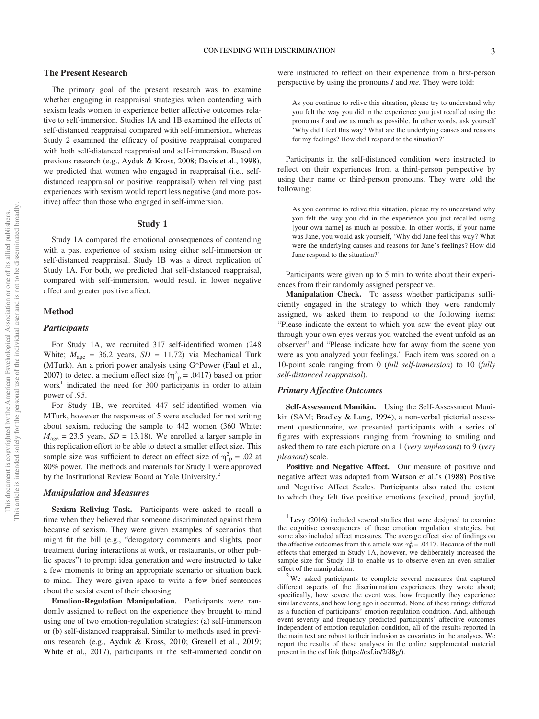#### The Present Research

The primary goal of the present research was to examine whether engaging in reappraisal strategies when contending with sexism leads women to experience better affective outcomes relative to self-immersion. Studies 1A and 1B examined the effects of self-distanced reappraisal compared with self-immersion, whereas Study 2 examined the efficacy of positive reappraisal compared with both self-distanced reappraisal and self-immersion. Based on previous research (e.g., Ayduk & Kross, 2008; Davis et al., 1998), we predicted that women who engaged in reappraisal (i.e., selfdistanced reappraisal or positive reappraisal) when reliving past experiences with sexism would report less negative (and more positive) affect than those who engaged in self-immersion.

#### Study 1

Study 1A compared the emotional consequences of contending with a past experience of sexism using either self-immersion or self-distanced reappraisal. Study 1B was a direct replication of Study 1A. For both, we predicted that self-distanced reappraisal, compared with self-immersion, would result in lower negative affect and greater positive affect.

#### Method

#### **Participants**

For Study 1A, we recruited 317 self-identified women (248 White;  $M_{\text{age}} = 36.2$  years,  $SD = 11.72$ ) via Mechanical Turk (MTurk). An a priori power analysis using G\*Power (Faul et al., 2007) to detect a medium effect size ( $\eta_p^2$  = .0417) based on prior  $work<sup>1</sup>$  indicated the need for 300 participants in order to attain power of .95.

For Study 1B, we recruited 447 self-identified women via MTurk, however the responses of 5 were excluded for not writing about sexism, reducing the sample to 442 women (360 White;  $M_{\text{age}} = 23.5$  years,  $SD = 13.18$ ). We enrolled a larger sample in this replication effort to be able to detect a smaller effect size. This sample size was sufficient to detect an effect size of  $\eta_p^2 = .02$  at 80% power. The methods and materials for Study 1 were approved by the Institutional Review Board at Yale University.<sup>2</sup>

#### Manipulation and Measures

Sexism Reliving Task. Participants were asked to recall a time when they believed that someone discriminated against them because of sexism. They were given examples of scenarios that might fit the bill (e.g., "derogatory comments and slights, poor treatment during interactions at work, or restaurants, or other public spaces") to prompt idea generation and were instructed to take a few moments to bring an appropriate scenario or situation back to mind. They were given space to write a few brief sentences about the sexist event of their choosing.

Emotion-Regulation Manipulation. Participants were randomly assigned to reflect on the experience they brought to mind using one of two emotion-regulation strategies: (a) self-immersion or (b) self-distanced reappraisal. Similar to methods used in previous research (e.g., Ayduk & Kross, 2010; Grenell et al., 2019; White et al., 2017), participants in the self-immersed condition

were instructed to reflect on their experience from a first-person perspective by using the pronouns I and me. They were told:

As you continue to relive this situation, please try to understand why you felt the way you did in the experience you just recalled using the pronouns I and me as much as possible. In other words, ask yourself 'Why did I feel this way? What are the underlying causes and reasons for my feelings? How did I respond to the situation?'

Participants in the self-distanced condition were instructed to reflect on their experiences from a third-person perspective by using their name or third-person pronouns. They were told the following:

As you continue to relive this situation, please try to understand why you felt the way you did in the experience you just recalled using [your own name] as much as possible. In other words, if your name was Jane, you would ask yourself, 'Why did Jane feel this way? What were the underlying causes and reasons for Jane's feelings? How did Jane respond to the situation?'

Participants were given up to 5 min to write about their experiences from their randomly assigned perspective.

Manipulation Check. To assess whether participants sufficiently engaged in the strategy to which they were randomly assigned, we asked them to respond to the following items: "Please indicate the extent to which you saw the event play out through your own eyes versus you watched the event unfold as an observer" and "Please indicate how far away from the scene you were as you analyzed your feelings." Each item was scored on a 10-point scale ranging from 0 (full self-immersion) to 10 (fully self-distanced reappraisal).

#### Primary Affective Outcomes

Self-Assessment Manikin. Using the Self-Assessment Manikin (SAM; Bradley & Lang, 1994), a non-verbal pictorial assessment questionnaire, we presented participants with a series of figures with expressions ranging from frowning to smiling and asked them to rate each picture on a 1 (very unpleasant) to 9 (very pleasant) scale.

Positive and Negative Affect. Our measure of positive and negative affect was adapted from Watson et al.'s (1988) Positive and Negative Affect Scales. Participants also rated the extent to which they felt five positive emotions (excited, proud, joyful,

 $1$  Levy (2016) included several studies that were designed to examine the cognitive consequences of these emotion regulation strategies, but some also included affect measures. The average effect size of findings on the affective outcomes from this article was  $\eta_p^2 = .0417$ . Because of the null effects that emerged in Study 1A, however, we deliberately increased the sample size for Study 1B to enable us to observe even an even smaller

effect of the manipulation.<br><sup>2</sup> We asked participants to complete several measures that captured different aspects of the discrimination experiences they wrote about; specifically, how severe the event was, how frequently they experience similar events, and how long ago it occurred. None of these ratings differed as a function of participants' emotion-regulation condition. And, although event severity and frequency predicted participants' affective outcomes independent of emotion-regulation condition, all of the results reported in the main text are robust to their inclusion as covariates in the analyses. We report the results of these analyses in the online supplemental material present in the osf link ([https://osf.io/2fd8g/\)](https://osf.io/2fd8g/).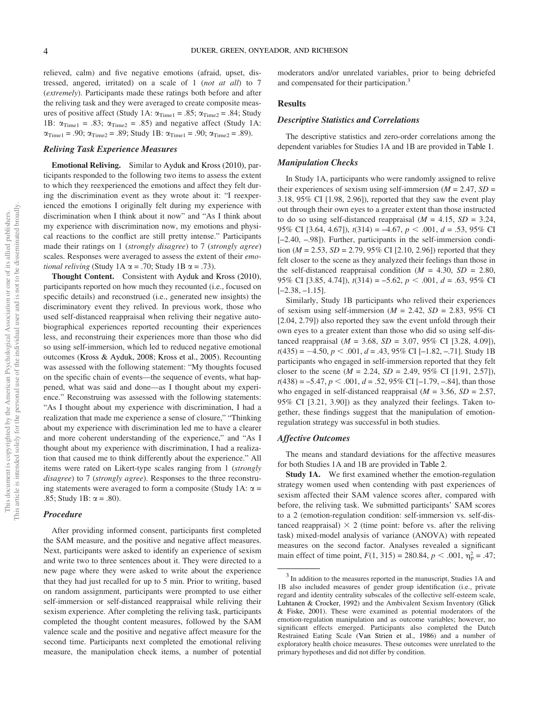relieved, calm) and five negative emotions (afraid, upset, distressed, angered, irritated) on a scale of 1 (not at all) to 7 (extremely). Participants made these ratings both before and after the reliving task and they were averaged to create composite measures of positive affect (Study 1A:  $\alpha_{Time1} = .85$ ;  $\alpha_{Time2} = .84$ ; Study 1B:  $\alpha_{\text{Time1}} = .83$ ;  $\alpha_{\text{Time2}} = .85$ ) and negative affect (Study 1A:  $\alpha_{\rm Time1} = .90;$   $\alpha_{\rm Time2} = .89;$  Study 1B:  $\alpha_{\rm Time1} = .90;$   $\alpha_{\rm Time2} = .89).$ 

#### Reliving Task Experience Measures

Emotional Reliving. Similar to Ayduk and Kross (2010), participants responded to the following two items to assess the extent to which they reexperienced the emotions and affect they felt during the discrimination event as they wrote about it: "I reexperienced the emotions I originally felt during my experience with discrimination when I think about it now" and "As I think about my experience with discrimination now, my emotions and physical reactions to the conflict are still pretty intense." Participants made their ratings on 1 (strongly disagree) to 7 (strongly agree) scales. Responses were averaged to assess the extent of their *emo*tional reliving (Study 1A  $\alpha$  = .70; Study 1B  $\alpha$  = .73).

Thought Content. Consistent with Ayduk and Kross (2010), participants reported on how much they recounted (i.e., focused on specific details) and reconstrued (i.e., generated new insights) the discriminatory event they relived. In previous work, those who used self-distanced reappraisal when reliving their negative autobiographical experiences reported recounting their experiences less, and reconstruing their experiences more than those who did so using self-immersion, which led to reduced negative emotional outcomes (Kross & Ayduk, 2008; Kross et al., 2005). Recounting was assessed with the following statement: "My thoughts focused on the specific chain of events—the sequence of events, what happened, what was said and done—as I thought about my experience." Reconstruing was assessed with the following statements: "As I thought about my experience with discrimination, I had a realization that made me experience a sense of closure," "Thinking about my experience with discrimination led me to have a clearer and more coherent understanding of the experience," and "As I thought about my experience with discrimination, I had a realization that caused me to think differently about the experience." All items were rated on Likert-type scales ranging from 1 (strongly disagree) to 7 (strongly agree). Responses to the three reconstruing statements were averaged to form a composite (Study 1A:  $\alpha$  = .85; Study 1B:  $\alpha = .80$ ).

#### Procedure

After providing informed consent, participants first completed the SAM measure, and the positive and negative affect measures. Next, participants were asked to identify an experience of sexism and write two to three sentences about it. They were directed to a new page where they were asked to write about the experience that they had just recalled for up to 5 min. Prior to writing, based on random assignment, participants were prompted to use either self-immersion or self-distanced reappraisal while reliving their sexism experience. After completing the reliving task, participants completed the thought content measures, followed by the SAM valence scale and the positive and negative affect measure for the second time. Participants next completed the emotional reliving measure, the manipulation check items, a number of potential

moderators and/or unrelated variables, prior to being debriefed and compensated for their participation.<sup>3</sup>

#### Results

#### Descriptive Statistics and Correlations

The descriptive statistics and zero-order correlations among the dependent variables for Studies 1A and 1B are provided in Table 1.

#### Manipulation Checks

In Study 1A, participants who were randomly assigned to relive their experiences of sexism using self-immersion ( $M = 2.47$ ,  $SD =$ 3.18, 95% CI [1.98, 2.96]), reported that they saw the event play out through their own eyes to a greater extent than those instructed to do so using self-distanced reappraisal ( $M = 4.15$ ,  $SD = 3.24$ , 95% CI [3.64, 4.67]),  $t(314) = -4.67$ ,  $p < .001$ ,  $d = .53$ , 95% CI [-2.40, -.98]). Further, participants in the self-immersion condition ( $M = 2.53$ ,  $SD = 2.79$ , 95% CI [2.10, 2.96]) reported that they felt closer to the scene as they analyzed their feelings than those in the self-distanced reappraisal condition ( $M = 4.30$ ,  $SD = 2.80$ , 95% CI [3.85, 4.74]),  $t(314) = -5.62$ ,  $p < .001$ ,  $d = .63$ , 95% CI [–2.38, –1.15].

Similarly, Study 1B participants who relived their experiences of sexism using self-immersion ( $M = 2.42$ ,  $SD = 2.83$ , 95% CI [2.04, 2.79]) also reported they saw the event unfold through their own eyes to a greater extent than those who did so using self-distanced reappraisal ( $M = 3.68$ ,  $SD = 3.07$ , 95% CI [3.28, 4.09]),  $t(435) = -4.50, p < .001, d = .43, 95\%$  CI [-1.82, -.71]. Study 1B participants who engaged in self-immersion reported that they felt closer to the scene ( $M = 2.24$ ,  $SD = 2.49$ ,  $95\%$  CI [1.91, 2.57]),  $t(438) = -5.47, p < .001, d = .52, 95\% \text{ CI} [-1.79, -.84], \text{than those}$ who engaged in self-distanced reappraisal ( $M = 3.56$ ,  $SD = 2.57$ , 95% CI [3.21, 3.90]) as they analyzed their feelings. Taken together, these findings suggest that the manipulation of emotionregulation strategy was successful in both studies.

#### Affective Outcomes

The means and standard deviations for the affective measures for both Studies 1A and 1B are provided in Table 2.

Study 1A. We first examined whether the emotion-regulation strategy women used when contending with past experiences of sexism affected their SAM valence scores after, compared with before, the reliving task. We submitted participants' SAM scores to a 2 (emotion-regulation condition: self-immersion vs. self-distanced reappraisal)  $\times$  2 (time point: before vs. after the reliving task) mixed-model analysis of variance (ANOVA) with repeated measures on the second factor. Analyses revealed a significant main effect of time point,  $F(1, 315) = 280.84$ ,  $p < .001$ ,  $\eta_p^2 = .47$ ;

<sup>&</sup>lt;sup>3</sup> In addition to the measures reported in the manuscript, Studies 1A and 1B also included measures of gender group identification (i.e., private regard and identity centrality subscales of the collective self-esteem scale, Luhtanen & Crocker, 1992) and the Ambivalent Sexism Inventory (Glick & Fiske, 2001). These were examined as potential moderators of the emotion-regulation manipulation and as outcome variables; however, no significant effects emerged. Participants also completed the Dutch Restrained Eating Scale (Van Strien et al., 1986) and a number of exploratory health choice measures. These outcomes were unrelated to the primary hypotheses and did not differ by condition.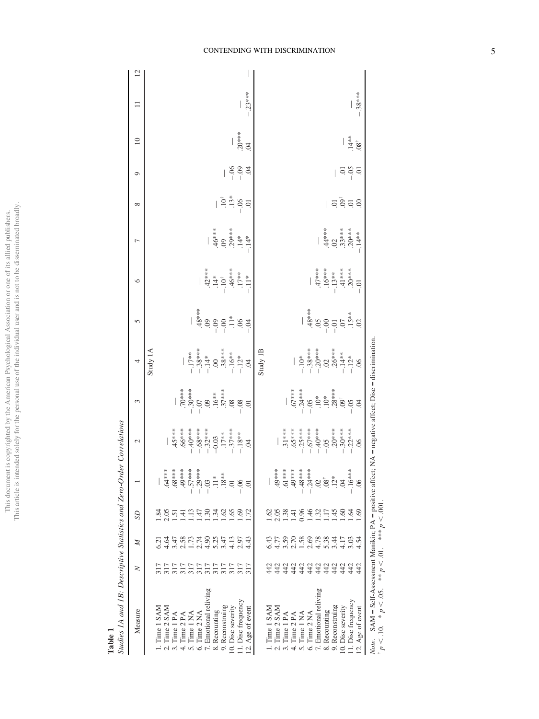This document is copyrighted by the American Psychological Association or one of its allied publishers.<br>This article is intended solely for the personal use of the individual user and is not to be disseminated broadly. This article is intended solely for the personal use of the individual user and is not to be disseminated broadly.This document is copyrighted by the American Psychological Association or one of its allied publishers.

Table 1

| J                        |
|--------------------------|
| ١                        |
| š                        |
|                          |
| ĺ<br>l                   |
| ì                        |
| ļ                        |
|                          |
|                          |
| $\overline{\phantom{a}}$ |
| ļ<br>I                   |
| ļ<br>∶                   |
| í<br>I                   |
|                          |
| ļ<br>١                   |

| Diantes 12 anal 12. Descriptive Dianomes and Let o-Oraer Correlations                                          |                          |                                            |                               |                                   |                                                                                                                                                                                                                                                                                                                                                                                                                                                                                                                                                                                                                                                      |                                                                                                                                                                                                                                                                                                                                                  |                                                                                                                                                                                                                                                                                                                                                                                  |                                                                                                                                                                                                                                                                                                                                                      |                                                                                                                                                                                                                                                                                                      |                                                                                                                                                             |                                                                            |         |                   |          |                |
|----------------------------------------------------------------------------------------------------------------|--------------------------|--------------------------------------------|-------------------------------|-----------------------------------|------------------------------------------------------------------------------------------------------------------------------------------------------------------------------------------------------------------------------------------------------------------------------------------------------------------------------------------------------------------------------------------------------------------------------------------------------------------------------------------------------------------------------------------------------------------------------------------------------------------------------------------------------|--------------------------------------------------------------------------------------------------------------------------------------------------------------------------------------------------------------------------------------------------------------------------------------------------------------------------------------------------|----------------------------------------------------------------------------------------------------------------------------------------------------------------------------------------------------------------------------------------------------------------------------------------------------------------------------------------------------------------------------------|------------------------------------------------------------------------------------------------------------------------------------------------------------------------------------------------------------------------------------------------------------------------------------------------------------------------------------------------------|------------------------------------------------------------------------------------------------------------------------------------------------------------------------------------------------------------------------------------------------------------------------------------------------------|-------------------------------------------------------------------------------------------------------------------------------------------------------------|----------------------------------------------------------------------------|---------|-------------------|----------|----------------|
| Measure                                                                                                        | z                        | $\mathbb{Z}$                               | S <sub>D</sub>                |                                   | 2                                                                                                                                                                                                                                                                                                                                                                                                                                                                                                                                                                                                                                                    | 3                                                                                                                                                                                                                                                                                                                                                | 4                                                                                                                                                                                                                                                                                                                                                                                | 5                                                                                                                                                                                                                                                                                                                                                    | $\circ$                                                                                                                                                                                                                                                                                              | Γ                                                                                                                                                           | ${}^{\circ}$                                                               | $\circ$ | $\approx$         | $\equiv$ | $\overline{c}$ |
|                                                                                                                |                          | 5.21                                       | $\widetilde{\mathcal{R}}$     |                                   |                                                                                                                                                                                                                                                                                                                                                                                                                                                                                                                                                                                                                                                      |                                                                                                                                                                                                                                                                                                                                                  | Study 1A                                                                                                                                                                                                                                                                                                                                                                         |                                                                                                                                                                                                                                                                                                                                                      |                                                                                                                                                                                                                                                                                                      |                                                                                                                                                             |                                                                            |         |                   |          |                |
| $1. Time 1 SAM2. Time 2 SAM3. Time 1 PA$                                                                       | nnannannan<br>Dananannan | 4.64                                       |                               | $.64***$                          |                                                                                                                                                                                                                                                                                                                                                                                                                                                                                                                                                                                                                                                      |                                                                                                                                                                                                                                                                                                                                                  |                                                                                                                                                                                                                                                                                                                                                                                  |                                                                                                                                                                                                                                                                                                                                                      |                                                                                                                                                                                                                                                                                                      |                                                                                                                                                             |                                                                            |         |                   |          |                |
|                                                                                                                |                          |                                            | 85495838<br>85495838          | 88                                |                                                                                                                                                                                                                                                                                                                                                                                                                                                                                                                                                                                                                                                      |                                                                                                                                                                                                                                                                                                                                                  |                                                                                                                                                                                                                                                                                                                                                                                  |                                                                                                                                                                                                                                                                                                                                                      |                                                                                                                                                                                                                                                                                                      |                                                                                                                                                             |                                                                            |         |                   |          |                |
| 4. Time 2 PA                                                                                                   |                          |                                            |                               | $49***$                           |                                                                                                                                                                                                                                                                                                                                                                                                                                                                                                                                                                                                                                                      |                                                                                                                                                                                                                                                                                                                                                  |                                                                                                                                                                                                                                                                                                                                                                                  |                                                                                                                                                                                                                                                                                                                                                      |                                                                                                                                                                                                                                                                                                      |                                                                                                                                                             |                                                                            |         |                   |          |                |
| 5. Time 1 NA                                                                                                   |                          |                                            |                               | $-.57***$                         |                                                                                                                                                                                                                                                                                                                                                                                                                                                                                                                                                                                                                                                      |                                                                                                                                                                                                                                                                                                                                                  |                                                                                                                                                                                                                                                                                                                                                                                  |                                                                                                                                                                                                                                                                                                                                                      |                                                                                                                                                                                                                                                                                                      |                                                                                                                                                             |                                                                            |         |                   |          |                |
| 6. Time 2 NA                                                                                                   |                          |                                            |                               | $-0.29***$                        |                                                                                                                                                                                                                                                                                                                                                                                                                                                                                                                                                                                                                                                      |                                                                                                                                                                                                                                                                                                                                                  |                                                                                                                                                                                                                                                                                                                                                                                  |                                                                                                                                                                                                                                                                                                                                                      |                                                                                                                                                                                                                                                                                                      |                                                                                                                                                             |                                                                            |         |                   |          |                |
| 7. Emotional reliving                                                                                          |                          | $488778847$<br>$36778847$                  |                               | $-0.03$                           | $\begin{array}{l} 4.45\atop{84} \put(0,0){\scriptstyle\stackrel{***}{\scriptstyle\stackrel{***}{\scriptstyle\stackrel{***}{\scriptstyle\stackrel{***}{\scriptstyle\stackrel{***}{\scriptstyle\stackrel{***}{\scriptstyle\stackrel{***}{\scriptstyle\stackrel{***}{\scriptstyle\stackrel{***}{\scriptstyle\stackrel{***}{\scriptstyle\stackrel{***}{\scriptstyle\stackrel{***}{\scriptstyle\stackrel{***}{\scriptstyle\stackrel{***}{\scriptstyle\stackrel{***}{\scriptstyle\stackrel{***}{\scriptstyle\stackrel{***}{\scriptstyle\stackrel{***}{\scriptstyle\stackrel{***}{\scriptstyle\stackrel{***}{\scriptstyle\stackrel{***}{\scriptstyle\stack$ | $\begin{array}{r} 10.3 \\ -3.04 \\ -1.07 \\ -1.07 \\ -1.07 \\ -1.07 \\ -1.07 \\ -1.08 \\ -1.08 \\ -1.08 \\ -1.01 \\ -1.03 \\ -1.04 \\ -1.03 \\ -1.04 \\ -1.03 \\ -1.01 \\ -1.03 \\ -1.01 \\ -1.03 \\ -1.01 \\ -1.03 \\ -1.01 \\ -1.03 \\ -1.03 \\ -1.04 \\ -1.03 \\ -1.04 \\ -1.03 \\ -1.04 \\ -1.05 \\ -1.05 \\ -1.05 \\ -1.07 \\ -1.07 \\ -1.$ | $-17**$<br>$-17**$<br>$-18***$<br>$-16**$<br>$-16**$<br>$-16**$<br>$-16**$                                                                                                                                                                                                                                                                                                       | $\frac{1}{4}$<br>$\frac{1}{4}$<br>$\frac{1}{4}$<br>$\frac{1}{4}$<br>$\frac{1}{4}$<br>$\frac{1}{4}$<br>$\frac{1}{4}$<br>$\frac{1}{4}$<br>$\frac{1}{4}$<br>$\frac{1}{4}$<br>$\frac{1}{4}$<br>$\frac{1}{4}$<br>$\frac{1}{4}$<br>$\frac{1}{4}$<br>$\frac{1}{4}$<br>$\frac{1}{4}$<br>$\frac{1}{4}$<br>$\frac{1}{4}$<br>$\frac{1}{4}$<br>$\frac{1}{4}$<br> | $\begin{array}{c} 1.42**\\ -1.01*\\ -1.01*\\ -1.01*\\ -1.01*\\ -1.01*\\ -1.01*\\ -1.01*\\ -1.01*\\ -1.01*\\ -1.01*\\ -1.01*\\ -1.01*\\ -1.01*\\ -1.01*\\ -1.01*\\ -1.01*\\ -1.01*\\ -1.01*\\ -1.01*\\ -1.01*\\ -1.01*\\ -1.01*\\ -1.01*\\ -1.01*\\ -1.01*\\ -1.01*\\ -1.01*\\ -1.01*\\ -1.01*\\ -1.$ |                                                                                                                                                             |                                                                            |         |                   |          |                |
| 8. Recounting                                                                                                  |                          |                                            |                               | $.11*$<br>$.18**$                 |                                                                                                                                                                                                                                                                                                                                                                                                                                                                                                                                                                                                                                                      |                                                                                                                                                                                                                                                                                                                                                  |                                                                                                                                                                                                                                                                                                                                                                                  |                                                                                                                                                                                                                                                                                                                                                      |                                                                                                                                                                                                                                                                                                      |                                                                                                                                                             |                                                                            |         |                   |          |                |
| 9. Reconstruing                                                                                                |                          |                                            |                               |                                   |                                                                                                                                                                                                                                                                                                                                                                                                                                                                                                                                                                                                                                                      |                                                                                                                                                                                                                                                                                                                                                  |                                                                                                                                                                                                                                                                                                                                                                                  |                                                                                                                                                                                                                                                                                                                                                      |                                                                                                                                                                                                                                                                                                      |                                                                                                                                                             |                                                                            |         |                   |          |                |
| 10. Disc severity                                                                                              | 317                      | 4.13<br>2.97                               | 1.65                          | $\Xi$                             |                                                                                                                                                                                                                                                                                                                                                                                                                                                                                                                                                                                                                                                      |                                                                                                                                                                                                                                                                                                                                                  |                                                                                                                                                                                                                                                                                                                                                                                  |                                                                                                                                                                                                                                                                                                                                                      |                                                                                                                                                                                                                                                                                                      | $\begin{array}{c}\n * \\  +\frac{1}{2} \\  +\frac{1}{2} \\  +\frac{1}{2} \\  +\frac{1}{2} \\  +\frac{1}{2} \\  +\frac{1}{2} \\  -\frac{1}{2}\n \end{array}$ | $\frac{10^{+}}{13^{+}}$                                                    |         |                   |          |                |
| 11. Disc frequency                                                                                             |                          |                                            | 1.69                          | $-0.06$                           |                                                                                                                                                                                                                                                                                                                                                                                                                                                                                                                                                                                                                                                      |                                                                                                                                                                                                                                                                                                                                                  |                                                                                                                                                                                                                                                                                                                                                                                  |                                                                                                                                                                                                                                                                                                                                                      |                                                                                                                                                                                                                                                                                                      |                                                                                                                                                             |                                                                            | 893     |                   |          |                |
| Age of event<br>$\overline{q}$                                                                                 | 317                      | 4.43                                       | $\overline{172}$              | ā                                 |                                                                                                                                                                                                                                                                                                                                                                                                                                                                                                                                                                                                                                                      |                                                                                                                                                                                                                                                                                                                                                  |                                                                                                                                                                                                                                                                                                                                                                                  |                                                                                                                                                                                                                                                                                                                                                      |                                                                                                                                                                                                                                                                                                      |                                                                                                                                                             | $\overline{0}$                                                             |         | $.20***$<br>$.04$ | $-23***$ |                |
|                                                                                                                |                          |                                            |                               |                                   |                                                                                                                                                                                                                                                                                                                                                                                                                                                                                                                                                                                                                                                      |                                                                                                                                                                                                                                                                                                                                                  | Study 1B                                                                                                                                                                                                                                                                                                                                                                         |                                                                                                                                                                                                                                                                                                                                                      |                                                                                                                                                                                                                                                                                                      |                                                                                                                                                             |                                                                            |         |                   |          |                |
| 1. Time 1 SAM                                                                                                  | 442                      | 5.43                                       |                               |                                   |                                                                                                                                                                                                                                                                                                                                                                                                                                                                                                                                                                                                                                                      |                                                                                                                                                                                                                                                                                                                                                  |                                                                                                                                                                                                                                                                                                                                                                                  |                                                                                                                                                                                                                                                                                                                                                      |                                                                                                                                                                                                                                                                                                      |                                                                                                                                                             |                                                                            |         |                   |          |                |
| $2. Time 2 SAM3. Time 1 PA$                                                                                    | 444<br>444               | t S S S S S S S 4 17<br>T S S S S S S 4 17 | 223348<br>23345               | $49***$                           |                                                                                                                                                                                                                                                                                                                                                                                                                                                                                                                                                                                                                                                      |                                                                                                                                                                                                                                                                                                                                                  |                                                                                                                                                                                                                                                                                                                                                                                  |                                                                                                                                                                                                                                                                                                                                                      |                                                                                                                                                                                                                                                                                                      |                                                                                                                                                             |                                                                            |         |                   |          |                |
|                                                                                                                |                          |                                            |                               | $.61***$                          |                                                                                                                                                                                                                                                                                                                                                                                                                                                                                                                                                                                                                                                      |                                                                                                                                                                                                                                                                                                                                                  |                                                                                                                                                                                                                                                                                                                                                                                  |                                                                                                                                                                                                                                                                                                                                                      |                                                                                                                                                                                                                                                                                                      |                                                                                                                                                             |                                                                            |         |                   |          |                |
| 4. Time 2 PA                                                                                                   |                          |                                            |                               | $49***$                           |                                                                                                                                                                                                                                                                                                                                                                                                                                                                                                                                                                                                                                                      |                                                                                                                                                                                                                                                                                                                                                  |                                                                                                                                                                                                                                                                                                                                                                                  |                                                                                                                                                                                                                                                                                                                                                      |                                                                                                                                                                                                                                                                                                      |                                                                                                                                                             |                                                                            |         |                   |          |                |
| 5. Time 1 NA                                                                                                   | न न न न<br>से से से से   |                                            |                               | $-48***$                          |                                                                                                                                                                                                                                                                                                                                                                                                                                                                                                                                                                                                                                                      |                                                                                                                                                                                                                                                                                                                                                  |                                                                                                                                                                                                                                                                                                                                                                                  |                                                                                                                                                                                                                                                                                                                                                      |                                                                                                                                                                                                                                                                                                      |                                                                                                                                                             |                                                                            |         |                   |          |                |
| 6. Time 2 NA                                                                                                   |                          |                                            | $\frac{46}{1.32}$             | $-0.24***$                        |                                                                                                                                                                                                                                                                                                                                                                                                                                                                                                                                                                                                                                                      |                                                                                                                                                                                                                                                                                                                                                  |                                                                                                                                                                                                                                                                                                                                                                                  |                                                                                                                                                                                                                                                                                                                                                      |                                                                                                                                                                                                                                                                                                      |                                                                                                                                                             |                                                                            |         |                   |          |                |
| 7. Emotional reliving                                                                                          |                          |                                            |                               | $\mathop{\mathrm{SO}}\nolimits^*$ |                                                                                                                                                                                                                                                                                                                                                                                                                                                                                                                                                                                                                                                      |                                                                                                                                                                                                                                                                                                                                                  |                                                                                                                                                                                                                                                                                                                                                                                  |                                                                                                                                                                                                                                                                                                                                                      |                                                                                                                                                                                                                                                                                                      |                                                                                                                                                             |                                                                            |         |                   |          |                |
| 8. Recounting                                                                                                  |                          |                                            |                               |                                   |                                                                                                                                                                                                                                                                                                                                                                                                                                                                                                                                                                                                                                                      |                                                                                                                                                                                                                                                                                                                                                  |                                                                                                                                                                                                                                                                                                                                                                                  |                                                                                                                                                                                                                                                                                                                                                      |                                                                                                                                                                                                                                                                                                      |                                                                                                                                                             |                                                                            |         |                   |          |                |
| 9. Reconstruing                                                                                                |                          |                                            | 1.45                          | $.12*$                            |                                                                                                                                                                                                                                                                                                                                                                                                                                                                                                                                                                                                                                                      |                                                                                                                                                                                                                                                                                                                                                  |                                                                                                                                                                                                                                                                                                                                                                                  |                                                                                                                                                                                                                                                                                                                                                      |                                                                                                                                                                                                                                                                                                      |                                                                                                                                                             |                                                                            |         |                   |          |                |
| 10. Disc severity                                                                                              | 442<br>442               |                                            |                               | S.                                | $\begin{array}{r} .31***\\ .65***\\ .65***\\ .65***\\ -.25***\\ -.67***\\ -.67***\\ -.67***\\ -.75***\\ -.75***\\ -.75***\\ -.75***\\ -.75***\\ -.85***\\ .665***\\ .665***\\ .665***\\ .665***\\ .665***\\ .665***\\ .665***\\ .665***\\ .665***\\ .665***\\ .665***\\ .665***\\ .665***\\ .665***\\ .665***\\ .665***\\ .665***\\ .665***\\ .665***\\ .665***\\ .665***\\ .665***\\ .665***\\ .665***$                                                                                                                                                                                                                                             | $-57$<br>$-74$<br>$-105$<br>$-105$<br>$-105$<br>$-105$<br>$-105$<br>$-105$<br>$-105$<br>$-105$<br>$-105$<br>$-105$                                                                                                                                                                                                                               | $\begin{array}{r} -\frac{1}{10} \\ -\frac{10}{38} \\ -\frac{38}{38} \\ -\frac{20}{38} \\ -\frac{10}{38} \\ -\frac{10}{14} \\ -\frac{10}{12} \\ -\frac{10}{12} \\ -\frac{10}{12} \\ -\frac{10}{12} \\ -\frac{10}{12} \\ -\frac{10}{12} \\ -\frac{10}{12} \\ -\frac{10}{12} \\ -\frac{10}{12} \\ -\frac{10}{12} \\ -\frac{10}{12} \\ -\frac{10}{12} \\ -\frac{10}{12} \\ -\frac{1$ | $48***$<br>$-0.05$<br>$-0.05$<br>$-0.05$<br>$-0.05$<br>$-0.05$<br>$-0.05$<br>$-0.05$                                                                                                                                                                                                                                                                 | $47***$<br>$16***$<br>$16***$<br>$-13***$<br>$41***$<br>$20***$                                                                                                                                                                                                                                      | $44***$<br>$02***$<br>$03***$<br>$03***$<br>$03***$                                                                                                         | $\overline{5}$ $\overline{5}$ $\overline{5}$ $\overline{5}$ $\overline{5}$ |         |                   |          |                |
| 11. Disc frequency                                                                                             | 442                      | 3.03                                       | 1.64                          | $-.16***$                         |                                                                                                                                                                                                                                                                                                                                                                                                                                                                                                                                                                                                                                                      |                                                                                                                                                                                                                                                                                                                                                  |                                                                                                                                                                                                                                                                                                                                                                                  |                                                                                                                                                                                                                                                                                                                                                      |                                                                                                                                                                                                                                                                                                      |                                                                                                                                                             |                                                                            | $-0.5$  | $.14**$           |          |                |
| 12. Age of event                                                                                               | 442                      | 4.54                                       | 69.                           | $\infty$                          |                                                                                                                                                                                                                                                                                                                                                                                                                                                                                                                                                                                                                                                      |                                                                                                                                                                                                                                                                                                                                                  | .06                                                                                                                                                                                                                                                                                                                                                                              |                                                                                                                                                                                                                                                                                                                                                      |                                                                                                                                                                                                                                                                                                      | $-14**$                                                                                                                                                     |                                                                            | $\Xi$   | $.08^{+}$         | $-38***$ |                |
| SAM = Self-Assessment Manikin; $PA =$ positive affect; $NA =$ negative affect; Disc = discrimination.<br>Note. |                          |                                            |                               |                                   |                                                                                                                                                                                                                                                                                                                                                                                                                                                                                                                                                                                                                                                      |                                                                                                                                                                                                                                                                                                                                                  |                                                                                                                                                                                                                                                                                                                                                                                  |                                                                                                                                                                                                                                                                                                                                                      |                                                                                                                                                                                                                                                                                                      |                                                                                                                                                             |                                                                            |         |                   |          |                |
| $p < 10.$ * $p < 0.05$ .                                                                                       |                          |                                            | ** $p < .01$ . *** $p < .001$ |                                   |                                                                                                                                                                                                                                                                                                                                                                                                                                                                                                                                                                                                                                                      |                                                                                                                                                                                                                                                                                                                                                  |                                                                                                                                                                                                                                                                                                                                                                                  |                                                                                                                                                                                                                                                                                                                                                      |                                                                                                                                                                                                                                                                                                      |                                                                                                                                                             |                                                                            |         |                   |          |                |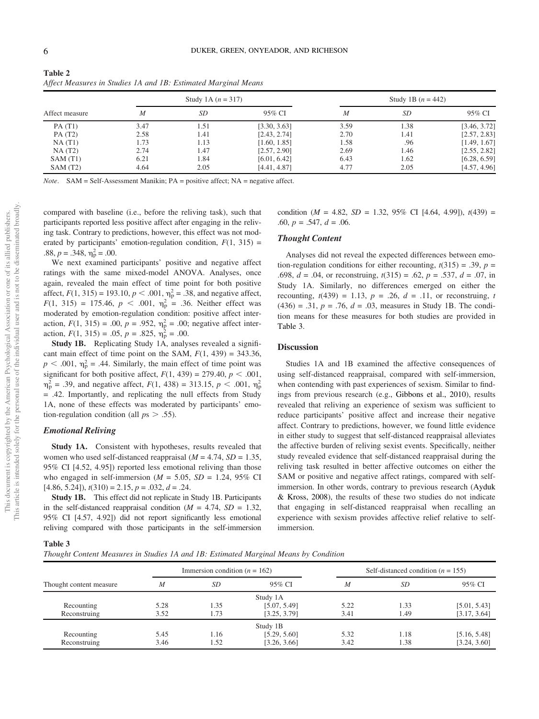| <b>Table 2</b> |                                                                |
|----------------|----------------------------------------------------------------|
|                | Affect Measures in Studies 1A and 1B: Estimated Marginal Means |

|                |      | Study 1A $(n = 317)$ |              |                  | Study 1B $(n = 442)$ |              |
|----------------|------|----------------------|--------------|------------------|----------------------|--------------|
| Affect measure | M    | <i>SD</i>            | 95% CI       | $\boldsymbol{M}$ | SD.                  | 95% CI       |
| PA(T1)         | 3.47 | 1.51                 | [3.30, 3.63] | 3.59             | 1.38                 | [3.46, 3.72] |
| PA(T2)         | 2.58 | 1.41                 | [2.43, 2.74] | 2.70             | 1.41                 | [2.57, 2.83] |
| NA(T1)         | 1.73 | 1.13                 | [1.60, 1.85] | 1.58             | .96                  | [1.49, 1.67] |
| NA(T2)         | 2.74 | 1.47                 | [2.57, 2.90] | 2.69             | 1.46                 | [2.55, 2.82] |
| SAM(T1)        | 6.21 | 1.84                 | [6.01, 6.42] | 6.43             | 1.62                 | [6.28, 6.59] |
| SAM(T2)        | 4.64 | 2.05                 | [4.41, 4.87] | 4.77             | 2.05                 | [4.57, 4.96] |

Note. SAM = Self-Assessment Manikin; PA = positive affect; NA = negative affect.

compared with baseline (i.e., before the reliving task), such that participants reported less positive affect after engaging in the reliving task. Contrary to predictions, however, this effect was not moderated by participants' emotion-regulation condition,  $F(1, 315)$  = .88,  $p = .348$ ,  $\eta_p^2 = .00$ .

We next examined participants' positive and negative affect ratings with the same mixed-model ANOVA. Analyses, once again, revealed the main effect of time point for both positive affect,  $F(1, 315) = 193.10, p < .001, \eta_p^2 = .38$ , and negative affect,  $F(1, 315) = 175.46, p < .001, \eta_p^2 = .36.$  Neither effect was moderated by emotion-regulation condition: positive affect interaction,  $F(1, 315) = .00$ ,  $p = .952$ ,  $\eta_p^2 = .00$ ; negative affect interaction,  $F(1, 315) = .05$ ,  $p = .825$ ,  $\eta_{\rm p}^2 = .00$ .

Study 1B. Replicating Study 1A, analyses revealed a significant main effect of time point on the SAM,  $F(1, 439) = 343.36$ ,  $p < .001$ ,  $\eta_p^2 = .44$ . Similarly, the main effect of time point was significant for both positive affect,  $F(1, 439) = 279.40, p < .001$ ,  $m_{\rm p}^2$  = .39, and negative affect,  $F(1, 438) = 313.15$ ,  $p < .001$ ,  $m_{\rm p}^2$ = .42. Importantly, and replicating the null effects from Study 1A, none of these effects was moderated by participants' emotion-regulation condition (all  $ps > .55$ ).

#### Emotional Reliving

Study 1A. Consistent with hypotheses, results revealed that women who used self-distanced reappraisal ( $M = 4.74$ ,  $SD = 1.35$ , 95% CI [4.52, 4.95]) reported less emotional reliving than those who engaged in self-immersion ( $M = 5.05$ ,  $SD = 1.24$ , 95% CI  $[4.86, 5.24]$ ,  $t(310) = 2.15$ ,  $p = .032$ ,  $d = .24$ .

Study 1B. This effect did not replicate in Study 1B. Participants in the self-distanced reappraisal condition ( $M = 4.74$ ,  $SD = 1.32$ , 95% CI [4.57, 4.92]) did not report significantly less emotional reliving compared with those participants in the self-immersion condition ( $M = 4.82$ ,  $SD = 1.32$ ,  $95\%$  CI [4.64, 4.99]),  $t(439) =$ .60,  $p = .547$ ,  $d = .06$ .

#### Thought Content

Analyses did not reveal the expected differences between emotion-regulation conditions for either recounting,  $t(315) = .39$ ,  $p =$ .698,  $d = .04$ , or reconstruing,  $t(315) = .62$ ,  $p = .537$ ,  $d = .07$ , in Study 1A. Similarly, no differences emerged on either the recounting,  $t(439) = 1.13$ ,  $p = .26$ ,  $d = .11$ , or reconstruing, t  $(436) = .31, p = .76, d = .03$ , measures in Study 1B. The condition means for these measures for both studies are provided in [Table 3.](#page-6-0)

#### **Discussion**

Studies 1A and 1B examined the affective consequences of using self-distanced reappraisal, compared with self-immersion, when contending with past experiences of sexism. Similar to findings from previous research (e.g., Gibbons et al., 2010), results revealed that reliving an experience of sexism was sufficient to reduce participants' positive affect and increase their negative affect. Contrary to predictions, however, we found little evidence in either study to suggest that self-distanced reappraisal alleviates the affective burden of reliving sexist events. Specifically, neither study revealed evidence that self-distanced reappraisal during the reliving task resulted in better affective outcomes on either the SAM or positive and negative affect ratings, compared with selfimmersion. In other words, contrary to previous research (Ayduk & Kross, 2008), the results of these two studies do not indicate that engaging in self-distanced reappraisal when recalling an experience with sexism provides affective relief relative to selfimmersion.

<span id="page-6-0"></span>

| Thought Content Measures in Studies 1A and 1B: Estimated Marginal Means by Condition |  |  |  |
|--------------------------------------------------------------------------------------|--|--|--|
|--------------------------------------------------------------------------------------|--|--|--|

|                         |              | Immersion condition ( $n = 162$ ) |              |      | Self-distanced condition ( $n = 155$ ) |              |
|-------------------------|--------------|-----------------------------------|--------------|------|----------------------------------------|--------------|
| Thought content measure | M            | <i>SD</i>                         | 95% CI       | M    | <i>SD</i>                              | 95% CI       |
|                         |              |                                   | Study 1A     |      |                                        |              |
| Recounting              | 5.28         | 1.35                              | [5.07, 5.49] | 5.22 | 1.33                                   | [5.01, 5.43] |
| Reconstruing            | 3.52<br>1.73 |                                   | [3.25, 3.79] | 3.41 | 1.49                                   | [3.17, 3.64] |
|                         |              |                                   | Study 1B     |      |                                        |              |
| Recounting              | 5.45         | 1.16                              | [5.29, 5.60] | 5.32 | 1.18                                   | [5.16, 5.48] |
| Reconstruing            | 3.46         | 1.52                              | [3.26, 3.66] | 3.42 | 1.38                                   | [3.24, 3.60] |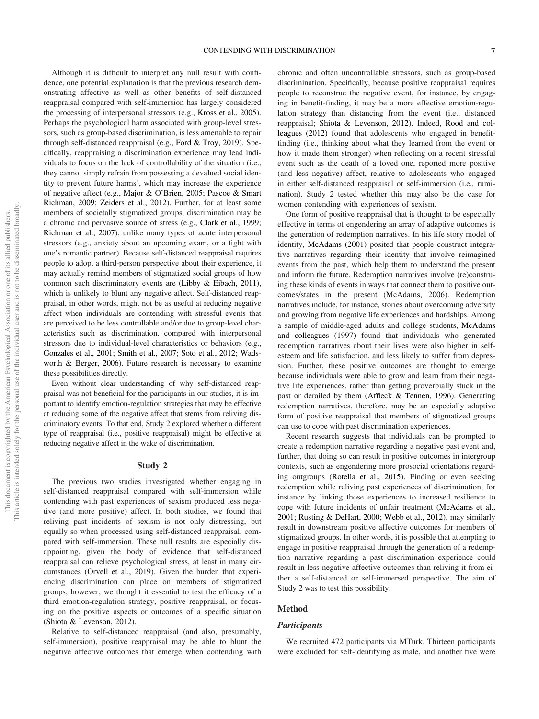Although it is difficult to interpret any null result with confidence, one potential explanation is that the previous research demonstrating affective as well as other benefits of self-distanced reappraisal compared with self-immersion has largely considered the processing of interpersonal stressors (e.g., Kross et al., 2005). Perhaps the psychological harm associated with group-level stressors, such as group-based discrimination, is less amenable to repair through self-distanced reappraisal (e.g., Ford & Troy, 2019). Specifically, reappraising a discrimination experience may lead individuals to focus on the lack of controllability of the situation (i.e., they cannot simply refrain from possessing a devalued social identity to prevent future harms), which may increase the experience of negative affect (e.g., Major & O'Brien, 2005; Pascoe & Smart Richman, 2009; Zeiders et al., 2012). Further, for at least some members of societally stigmatized groups, discrimination may be a chronic and pervasive source of stress (e.g., Clark et al., 1999; Richman et al., 2007), unlike many types of acute interpersonal stressors (e.g., anxiety about an upcoming exam, or a fight with one's romantic partner). Because self-distanced reappraisal requires people to adopt a third-person perspective about their experience, it may actually remind members of stigmatized social groups of how common such discriminatory events are (Libby & Eibach, 2011), which is unlikely to blunt any negative affect. Self-distanced reappraisal, in other words, might not be as useful at reducing negative affect when individuals are contending with stressful events that are perceived to be less controllable and/or due to group-level characteristics such as discrimination, compared with interpersonal stressors due to individual-level characteristics or behaviors (e.g., Gonzales et al., 2001; Smith et al., 2007; Soto et al., 2012; Wadsworth & Berger, 2006). Future research is necessary to examine these possibilities directly.

Even without clear understanding of why self-distanced reappraisal was not beneficial for the participants in our studies, it is important to identify emotion-regulation strategies that may be effective at reducing some of the negative affect that stems from reliving discriminatory events. To that end, Study 2 explored whether a different type of reappraisal (i.e., positive reappraisal) might be effective at reducing negative affect in the wake of discrimination.

#### Study 2

The previous two studies investigated whether engaging in self-distanced reappraisal compared with self-immersion while contending with past experiences of sexism produced less negative (and more positive) affect. In both studies, we found that reliving past incidents of sexism is not only distressing, but equally so when processed using self-distanced reappraisal, compared with self-immersion. These null results are especially disappointing, given the body of evidence that self-distanced reappraisal can relieve psychological stress, at least in many circumstances (Orvell et al., 2019). Given the burden that experiencing discrimination can place on members of stigmatized groups, however, we thought it essential to test the efficacy of a third emotion-regulation strategy, positive reappraisal, or focusing on the positive aspects or outcomes of a specific situation (Shiota & Levenson, 2012).

Relative to self-distanced reappraisal (and also, presumably, self-immersion), positive reappraisal may be able to blunt the negative affective outcomes that emerge when contending with chronic and often uncontrollable stressors, such as group-based discrimination. Specifically, because positive reappraisal requires people to reconstrue the negative event, for instance, by engaging in benefit-finding, it may be a more effective emotion-regulation strategy than distancing from the event (i.e., distanced reappraisal; Shiota & Levenson, 2012). Indeed, Rood and colleagues (2012) found that adolescents who engaged in benefitfinding (i.e., thinking about what they learned from the event or how it made them stronger) when reflecting on a recent stressful event such as the death of a loved one, reported more positive (and less negative) affect, relative to adolescents who engaged in either self-distanced reappraisal or self-immersion (i.e., rumination). Study 2 tested whether this may also be the case for women contending with experiences of sexism.

One form of positive reappraisal that is thought to be especially effective in terms of engendering an array of adaptive outcomes is the generation of redemption narratives. In his life story model of identity, McAdams (2001) posited that people construct integrative narratives regarding their identity that involve reimagined events from the past, which help them to understand the present and inform the future. Redemption narratives involve (re)construing these kinds of events in ways that connect them to positive outcomes/states in the present (McAdams, 2006). Redemption narratives include, for instance, stories about overcoming adversity and growing from negative life experiences and hardships. Among a sample of middle-aged adults and college students, McAdams and colleagues (1997) found that individuals who generated redemption narratives about their lives were also higher in selfesteem and life satisfaction, and less likely to suffer from depression. Further, these positive outcomes are thought to emerge because individuals were able to grow and learn from their negative life experiences, rather than getting proverbially stuck in the past or derailed by them (Affleck & Tennen, 1996). Generating redemption narratives, therefore, may be an especially adaptive form of positive reappraisal that members of stigmatized groups can use to cope with past discrimination experiences.

Recent research suggests that individuals can be prompted to create a redemption narrative regarding a negative past event and, further, that doing so can result in positive outcomes in intergroup contexts, such as engendering more prosocial orientations regarding outgroups (Rotella et al., 2015). Finding or even seeking redemption while reliving past experiences of discrimination, for instance by linking those experiences to increased resilience to cope with future incidents of unfair treatment (McAdams et al., 2001; Rusting & DeHart, 2000; Webb et al., 2012), may similarly result in downstream positive affective outcomes for members of stigmatized groups. In other words, it is possible that attempting to engage in positive reappraisal through the generation of a redemption narrative regarding a past discrimination experience could result in less negative affective outcomes than reliving it from either a self-distanced or self-immersed perspective. The aim of Study 2 was to test this possibility.

#### Method

#### **Participants**

We recruited 472 participants via MTurk. Thirteen participants were excluded for self-identifying as male, and another five were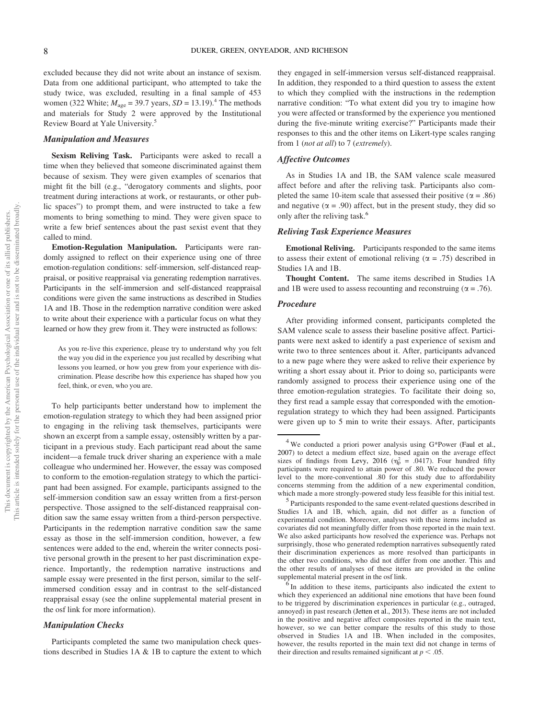excluded because they did not write about an instance of sexism. Data from one additional participant, who attempted to take the study twice, was excluded, resulting in a final sample of 453 women (322 White;  $M_{\text{age}} = 39.7$  years,  $SD = 13.19$ ).<sup>4</sup> The methods and materials for Study 2 were approved by the Institutional Review Board at Yale University.5

#### Manipulation and Measures

Sexism Reliving Task. Participants were asked to recall a time when they believed that someone discriminated against them because of sexism. They were given examples of scenarios that might fit the bill (e.g., "derogatory comments and slights, poor treatment during interactions at work, or restaurants, or other public spaces") to prompt them, and were instructed to take a few moments to bring something to mind. They were given space to write a few brief sentences about the past sexist event that they called to mind.

Emotion-Regulation Manipulation. Participants were randomly assigned to reflect on their experience using one of three emotion-regulation conditions: self-immersion, self-distanced reappraisal, or positive reappraisal via generating redemption narratives. Participants in the self-immersion and self-distanced reappraisal conditions were given the same instructions as described in Studies 1A and 1B. Those in the redemption narrative condition were asked to write about their experience with a particular focus on what they learned or how they grew from it. They were instructed as follows:

As you re-live this experience, please try to understand why you felt the way you did in the experience you just recalled by describing what lessons you learned, or how you grew from your experience with discrimination. Please describe how this experience has shaped how you feel, think, or even, who you are.

To help participants better understand how to implement the emotion-regulation strategy to which they had been assigned prior to engaging in the reliving task themselves, participants were shown an excerpt from a sample essay, ostensibly written by a participant in a previous study. Each participant read about the same incident—a female truck driver sharing an experience with a male colleague who undermined her. However, the essay was composed to conform to the emotion-regulation strategy to which the participant had been assigned. For example, participants assigned to the self-immersion condition saw an essay written from a first-person perspective. Those assigned to the self-distanced reappraisal condition saw the same essay written from a third-person perspective. Participants in the redemption narrative condition saw the same essay as those in the self-immersion condition, however, a few sentences were added to the end, wherein the writer connects positive personal growth in the present to her past discrimination experience. Importantly, the redemption narrative instructions and sample essay were presented in the first person, similar to the selfimmersed condition essay and in contrast to the self-distanced reappraisal essay (see the online supplemental material present in the osf link for more information).

#### Manipulation Checks

Participants completed the same two manipulation check questions described in Studies 1A & 1B to capture the extent to which

they engaged in self-immersion versus self-distanced reappraisal. In addition, they responded to a third question to assess the extent to which they complied with the instructions in the redemption narrative condition: "To what extent did you try to imagine how you were affected or transformed by the experience you mentioned during the five-minute writing exercise?" Participants made their responses to this and the other items on Likert-type scales ranging from 1 (not at all) to 7 (extremely).

#### Affective Outcomes

As in Studies 1A and 1B, the SAM valence scale measured affect before and after the reliving task. Participants also completed the same 10-item scale that assessed their positive ( $\alpha = .86$ ) and negative ( $\alpha$  = .90) affect, but in the present study, they did so only after the reliving task.<sup>6</sup>

#### Reliving Task Experience Measures

Emotional Reliving. Participants responded to the same items to assess their extent of emotional reliving ( $\alpha = .75$ ) described in Studies 1A and 1B.

Thought Content. The same items described in Studies 1A and 1B were used to assess recounting and reconstruing ( $\alpha = .76$ ).

#### Procedure

After providing informed consent, participants completed the SAM valence scale to assess their baseline positive affect. Participants were next asked to identify a past experience of sexism and write two to three sentences about it. After, participants advanced to a new page where they were asked to relive their experience by writing a short essay about it. Prior to doing so, participants were randomly assigned to process their experience using one of the three emotion-regulation strategies. To facilitate their doing so, they first read a sample essay that corresponded with the emotionregulation strategy to which they had been assigned. Participants were given up to 5 min to write their essays. After, participants

<sup>4</sup> We conducted a priori power analysis using G\*Power (Faul et al., 2007) to detect a medium effect size, based again on the average effect sizes of findings from Levy, 2016 ( $\eta_p^2 = .0417$ ). Four hundred fifty participants were required to attain power of .80. We reduced the power level to the more-conventional .80 for this study due to affordability concerns stemming from the addition of a new experimental condition, which made a more strongly-powered study less feasible for this initial test.

 $5$  Participants responded to the same event-related questions described in Studies 1A and 1B, which, again, did not differ as a function of experimental condition. Moreover, analyses with these items included as covariates did not meaningfully differ from those reported in the main text. We also asked participants how resolved the experience was. Perhaps not surprisingly, those who generated redemption narratives subsequently rated their discrimination experiences as more resolved than participants in the other two conditions, who did not differ from one another. This and the other results of analyses of these items are provided in the online

supplemental material present in the osf link.<br><sup>6</sup> In addition to these items, participants also indicated the extent to which they experienced an additional nine emotions that have been found to be triggered by discrimination experiences in particular (e.g., outraged, annoyed) in past research (Jetten et al., 2013). These items are not included in the positive and negative affect composites reported in the main text, however, so we can better compare the results of this study to those observed in Studies 1A and 1B. When included in the composites, however, the results reported in the main text did not change in terms of their direction and results remained significant at  $p < .05$ .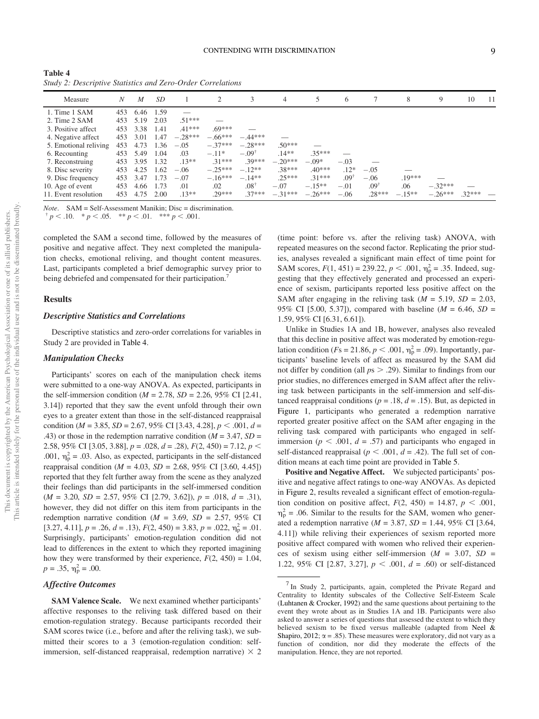| Table 4 |  |  |                                                             |
|---------|--|--|-------------------------------------------------------------|
|         |  |  | Study 2: Descriptive Statistics and Zero-Order Correlations |

| Measure               | Ν   | M    | SD     |           | $\mathcal{D}_{\mathcal{L}}$ |                  | 4         |           | 6               |                    | 8        | 9         | 10       | 11 |
|-----------------------|-----|------|--------|-----------|-----------------------------|------------------|-----------|-----------|-----------------|--------------------|----------|-----------|----------|----|
| 1. Time 1 SAM         | 453 | 6.46 | 1.59   |           |                             |                  |           |           |                 |                    |          |           |          |    |
| 2. Time 2 SAM         | 453 | 5.19 | 2.03   | $51***$   |                             |                  |           |           |                 |                    |          |           |          |    |
| 3. Positive affect    | 453 | 3.38 | 1.41   | $.41***$  | $69***$                     |                  |           |           |                 |                    |          |           |          |    |
| 4. Negative affect    | 453 | 3.01 | - 1.47 | $-.28***$ | $-.66***$                   | $-44***$         |           |           |                 |                    |          |           |          |    |
| 5. Emotional reliving | 453 | 4.73 | 1.36   | $-.05$    | $-.37***$                   | $-28***$         | $.50***$  |           |                 |                    |          |           |          |    |
| 6. Recounting         | 453 | 5.49 | 1.04   | .03       | $-.11*$                     | $-.09^{\dagger}$ | $.14**$   | $.35***$  |                 |                    |          |           |          |    |
| 7. Reconstruing       | 453 | 3.95 | 1.32   | $.13***$  | $.31***$                    | $.39***$         | $-.20***$ | $-.09*$   | $-.03$          |                    |          |           |          |    |
| 8. Disc severity      | 453 | 4.25 | 1.62   | $-.06$    | $-.25***$                   | $-12**$          | $38***$   | $.40***$  | $.12*$          | $-.05$             |          |           |          |    |
| 9. Disc frequency     | 453 | 3.47 | 1.73   | $-.07$    | $-.16***$                   | $-.14**$         | $25***$   | $31***$   | $.09^{\dagger}$ | $-.06$             | $.19***$ |           |          |    |
| 10. Age of event      | 453 | 4.66 | 1.73   | .01       | .02                         | $.08^{\dagger}$  | $-.07$    | $-.15**$  | $-.01$          | $.09$ <sup>t</sup> | .06      | $-.32***$ |          |    |
| 11. Event resolution  | 453 | 4.75 | 2.00   | $.13**$   | $.29***$                    | $.37***$         | $-.31***$ | $-.26***$ | $-.06$          | $.28***$           | $-.15**$ | $-.26***$ | $.32***$ |    |

*Note.* SAM = Self-Assessment Manikin; Disc = discrimination.  $p < .10.$  \* p < .05. \*\* p < .01. \*\*\* p < .001.

completed the SAM a second time, followed by the measures of positive and negative affect. They next completed the manipulation checks, emotional reliving, and thought content measures. Last, participants completed a brief demographic survey prior to being debriefed and compensated for their participation.<sup>7</sup>

#### Results

#### Descriptive Statistics and Correlations

Descriptive statistics and zero-order correlations for variables in Study 2 are provided in Table 4.

#### Manipulation Checks

Participants' scores on each of the manipulation check items were submitted to a one-way ANOVA. As expected, participants in the self-immersion condition ( $M = 2.78$ ,  $SD = 2.26$ , 95% CI [2.41, 3.14]) reported that they saw the event unfold through their own eyes to a greater extent than those in the self-distanced reappraisal condition ( $M = 3.85$ ,  $SD = 2.67$ , 95% CI [3.43, 4.28],  $p < .001$ ,  $d =$ .43) or those in the redemption narrative condition ( $M = 3.47$ ,  $SD =$ 2.58, 95% CI [3.05, 3.88],  $p = .028$ ,  $d = .28$ ),  $F(2, 450) = 7.12$ ,  $p <$ .001,  $\eta_p^2 = .03$ . Also, as expected, participants in the self-distanced reappraisal condition ( $M = 4.03$ ,  $SD = 2.68$ , 95% CI [3.60, 4.45]) reported that they felt further away from the scene as they analyzed their feelings than did participants in the self-immersed condition  $(M = 3.20, SD = 2.57, 95\% \text{ CI} [2.79, 3.62]), p = .018, d = .31),$ however, they did not differ on this item from participants in the redemption narrative condition ( $M = 3.69$ ,  $SD = 2.57$ , 95% CI [3.27, 4.11],  $p = .26$ ,  $d = .13$ ),  $F(2, 450) = 3.83$ ,  $p = .022$ ,  $\eta_p^2 = .01$ . Surprisingly, participants' emotion-regulation condition did not lead to differences in the extent to which they reported imagining how they were transformed by their experience,  $F(2, 450) = 1.04$ ,  $p = .35, \eta_{\rm p}^2 = .00.$ 

#### Affective Outcomes

SAM Valence Scale. We next examined whether participants' affective responses to the reliving task differed based on their emotion-regulation strategy. Because participants recorded their SAM scores twice (i.e., before and after the reliving task), we submitted their scores to a 3 (emotion-regulation condition: selfimmersion, self-distanced reappraisal, redemption narrative)  $\times$  2

(time point: before vs. after the reliving task) ANOVA, with repeated measures on the second factor. Replicating the prior studies, analyses revealed a significant main effect of time point for SAM scores,  $F(1, 451) = 239.22$ ,  $p < .001$ ,  $\eta_p^2 = .35$ . Indeed, suggesting that they effectively generated and processed an experience of sexism, participants reported less positive affect on the SAM after engaging in the reliving task ( $M = 5.19$ ,  $SD = 2.03$ , 95% CI [5.00, 5.37]), compared with baseline ( $M = 6.46$ ,  $SD =$ 1.59, 95% CI [6.31, 6.61]).

Unlike in Studies 1A and 1B, however, analyses also revealed that this decline in positive affect was moderated by emotion-regulation condition ( $Fs = 21.86, p < .001, \eta_p^2 = .09$ ). Importantly, participants' baseline levels of affect as measured by the SAM did not differ by condition (all  $ps > .29$ ). Similar to findings from our prior studies, no differences emerged in SAM affect after the reliving task between participants in the self-immersion and self-distanced reappraisal conditions ( $p = .18$ ,  $d = .15$ ). But, as depicted in Figure 1, participants who generated a redemption narrative reported greater positive affect on the SAM after engaging in the reliving task compared with participants who engaged in selfimmersion ( $p < .001$ ,  $d = .57$ ) and participants who engaged in self-distanced reappraisal ( $p < .001$ ,  $d = .42$ ). The full set of condition means at each time point are provided in [Table 5](#page-11-0).

Positive and Negative Affect. We subjected participants' positive and negative affect ratings to one-way ANOVAs. As depicted in Figure 2, results revealed a significant effect of emotion-regulation condition on positive affect,  $F(2, 450) = 14.87$ ,  $p < .001$ ,  $\eta_{\rm p}^2$  = .06. Similar to the results for the SAM, women who generated a redemption narrative ( $M = 3.87$ ,  $SD = 1.44$ , 95% CI [3.64, 4.11]) while reliving their experiences of sexism reported more positive affect compared with women who relived their experiences of sexism using either self-immersion  $(M = 3.07, SD =$ 1.22, 95% CI [2.87, 3.27],  $p < .001$ ,  $d = .60$ ) or self-distanced

 $<sup>7</sup>$  In Study 2, participants, again, completed the Private Regard and</sup> Centrality to Identity subscales of the Collective Self-Esteem Scale (Luhtanen & Crocker, 1992) and the same questions about pertaining to the event they wrote about as in Studies 1A and 1B. Participants were also asked to answer a series of questions that assessed the extent to which they believed sexism to be fixed versus malleable (adapted from Neel & Shapiro, 2012;  $\alpha = .85$ ). These measures were exploratory, did not vary as a function of condition, nor did they moderate the effects of the manipulation. Hence, they are not reported.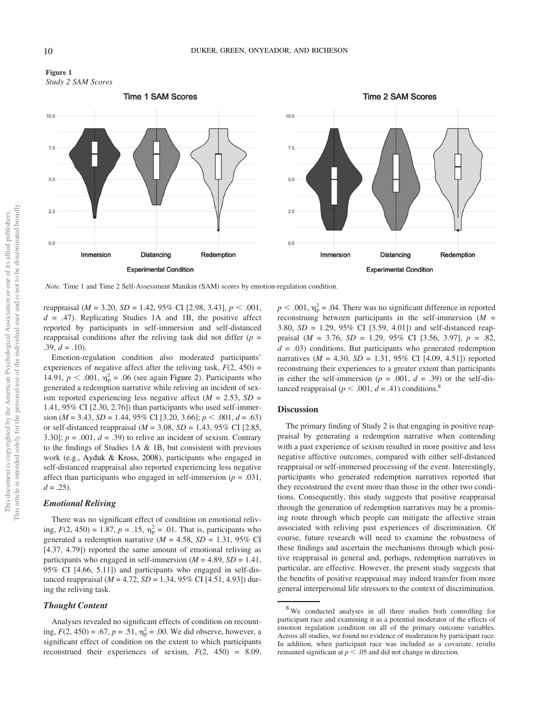



Note. Time 1 and Time 2 Self-Assessment Manikin (SAM) scores by emotion-regulation condition.

reappraisal ( $M = 3.20$ ,  $SD = 1.42$ ,  $95\%$  CI [2.98, 3.43],  $p < .001$ ,  $d = .47$ ). Replicating Studies 1A and 1B, the positive affect reported by participants in self-immersion and self-distanced reappraisal conditions after the reliving task did not differ  $(p =$  $.39, d = .10$ ).

Emotion-regulation condition also moderated participants' experiences of negative affect after the reliving task,  $F(2, 450) =$ 14.91,  $p < .001$ ,  $\eta_p^2 = .06$  (see again Figure 2). Participants who generated a redemption narrative while reliving an incident of sexism reported experiencing less negative affect ( $M = 2.53$ ,  $SD =$ 1.41, 95% CI [2.30, 2.76]) than participants who used self-immersion ( $M = 3.43$ ,  $SD = 1.44$ , 95% CI [3.20, 3.66];  $p < .001$ ,  $d = .63$ ) or self-distanced reappraisal ( $M = 3.08$ ,  $SD = 1.43$ , 95% CI [2.85, 3.30];  $p = .001$ ,  $d = .39$ ) to relive an incident of sexism. Contrary to the findings of Studies 1A & 1B, but consistent with previous work (e.g., Ayduk & Kross, 2008), participants who engaged in self-distanced reappraisal also reported experiencing less negative affect than participants who engaged in self-immersion ( $p = .031$ ,  $d = .25$ ).

#### Emotional Reliving

There was no significant effect of condition on emotional reliving,  $F(2, 450) = 1.87$ ,  $p = .15$ ,  $\eta_p^2 = .01$ . That is, participants who generated a redemption narrative ( $M = 4.58$ ,  $SD = 1.31$ , 95% CI [4.37, 4.79]) reported the same amount of emotional reliving as participants who engaged in self-immersion ( $M = 4.89$ ,  $SD = 1.41$ , 95% CI [4.66, 5.11]) and participants who engaged in self-distanced reappraisal ( $M = 4.72$ ,  $SD = 1.34$ , 95% CI [4.51, 4.93]) during the reliving task.

#### Thought Content

Analyses revealed no significant effects of condition on recounting,  $F(2, 450) = .67$ ,  $p = .51$ ,  $\eta_p^2 = .00$ . We did observe, however, a significant effect of condition on the extent to which participants reconstrued their experiences of sexism,  $F(2, 450) = 8.09$ ,

 $p < .001$ ,  $\eta_p^2 = .04$ . There was no significant difference in reported reconstruing between participants in the self-immersion  $(M =$ 3.80, SD = 1.29, 95% CI [3.59, 4.01]) and self-distanced reappraisal ( $M = 3.76$ ,  $SD = 1.29$ ,  $95\%$  CI [3.56, 3.97],  $p = .82$ ,  $d = .03$ ) conditions. But participants who generated redemption narratives ( $M = 4.30$ ,  $SD = 1.31$ , 95% CI [4.09, 4.51]) reported reconstruing their experiences to a greater extent than participants in either the self-immersion ( $p = .001$ ,  $d = .39$ ) or the self-distanced reappraisal ( $p < .001$ ,  $d = .41$ ) conditions.<sup>8</sup>

#### **Discussion**

The primary finding of Study 2 is that engaging in positive reappraisal by generating a redemption narrative when contending with a past experience of sexism resulted in more positive and less negative affective outcomes, compared with either self-distanced reappraisal or self-immersed processing of the event. Interestingly, participants who generated redemption narratives reported that they reconstrued the event more than those in the other two conditions. Consequently, this study suggests that positive reappraisal through the generation of redemption narratives may be a promising route through which people can mitigate the affective strain associated with reliving past experiences of discrimination. Of course, future research will need to examine the robustness of these findings and ascertain the mechanisms through which positive reappraisal in general and, perhaps, redemption narratives in particular, are effective. However, the present study suggests that the benefits of positive reappraisal may indeed transfer from more general interpersonal life stressors to the context of discrimination.

<sup>&</sup>lt;sup>8</sup>We conducted analyses in all three studies both controlling for participant race and examining it as a potential moderator of the effects of emotion regulation condition on all of the primary outcome variables. Across all studies, we found no evidence of moderation by participant race. In addition, when participant race was included as a covariate, results remained significant at  $p < .05$  and did not change in direction.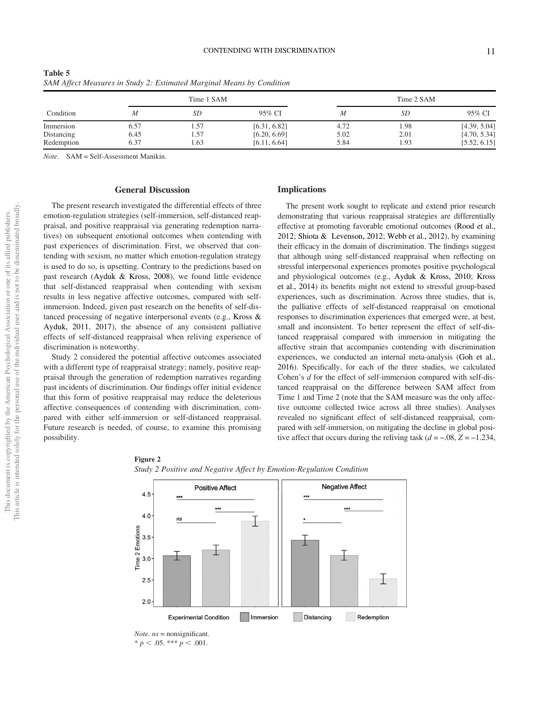|            |      |            | $\alpha$ and $\beta$ is the computed the bound $\beta$ . Boundaried head $\beta$ includes by conditional |      |            |              |
|------------|------|------------|----------------------------------------------------------------------------------------------------------|------|------------|--------------|
|            |      | Time 1 SAM |                                                                                                          |      | Time 2 SAM |              |
| Condition  | М    | SD         | 95% CI                                                                                                   | M    | SD         | 95% CI       |
| Immersion  | 6.57 | 1.57       | [6.31, 6.82]                                                                                             | 4.72 | 1.98       | [4.39, 5.04] |
| Distancing | 6.45 | 1.57       | [6.20, 6.69]                                                                                             | 5.02 | 2.01       | [4.70, 5.34] |
| Redemption | 6.37 | 1.63       | [6.11, 6.64]                                                                                             | 5.84 | 1.93       | [5.52, 6.15] |

<span id="page-11-0"></span>

| <b>Table 5</b>                                                        |  |  |  |
|-----------------------------------------------------------------------|--|--|--|
| SAM Affect Measures in Study 2: Estimated Marginal Means by Condition |  |  |  |

Note. SAM = Self-Assessment Manikin.

#### General Discussion

The present research investigated the differential effects of three emotion-regulation strategies (self-immersion, self-distanced reappraisal, and positive reappraisal via generating redemption narratives) on subsequent emotional outcomes when contending with past experiences of discrimination. First, we observed that contending with sexism, no matter which emotion-regulation strategy is used to do so, is upsetting. Contrary to the predictions based on past research (Ayduk & Kross, 2008), we found little evidence that self-distanced reappraisal when contending with sexism results in less negative affective outcomes, compared with selfimmersion. Indeed, given past research on the benefits of self-distanced processing of negative interpersonal events (e.g., Kross & Ayduk, 2011, 2017), the absence of any consistent palliative effects of self-distanced reappraisal when reliving experience of discrimination is noteworthy.

Study 2 considered the potential affective outcomes associated with a different type of reappraisal strategy; namely, positive reappraisal through the generation of redemption narratives regarding past incidents of discrimination. Our findings offer initial evidence that this form of positive reappraisal may reduce the deleterious affective consequences of contending with discrimination, compared with either self-immersion or self-distanced reappraisal. Future research is needed, of course, to examine this promising possibility.

Figure 2

#### Implications

The present work sought to replicate and extend prior research demonstrating that various reappraisal strategies are differentially effective at promoting favorable emotional outcomes (Rood et al., 2012; Shiota & Levenson, 2012; Webb et al., 2012), by examining their efficacy in the domain of discrimination. The findings suggest that although using self-distanced reappraisal when reflecting on stressful interpersonal experiences promotes positive psychological and physiological outcomes (e.g., Ayduk & Kross, 2010; Kross et al., 2014) its benefits might not extend to stressful group-based experiences, such as discrimination. Across three studies, that is, the palliative effects of self-distanced reappraisal on emotional responses to discrimination experiences that emerged were, at best, small and inconsistent. To better represent the effect of self-distanced reappraisal compared with immersion in mitigating the affective strain that accompanies contending with discrimination experiences, we conducted an internal meta-analysis (Goh et al., 2016). Specifically, for each of the three studies, we calculated Cohen's d for the effect of self-immersion compared with self-distanced reappraisal on the difference between SAM affect from Time 1 and Time 2 (note that the SAM measure was the only affective outcome collected twice across all three studies). Analyses revealed no significant effect of self-distanced reappraisal, compared with self-immersion, on mitigating the decline in global positive affect that occurs during the reliving task  $(d = -0.08, Z = -1.234,$ 





*Note.*  $ns =$  nonsignificant.  $* p < .05.$  \*\*\*  $p < .001.$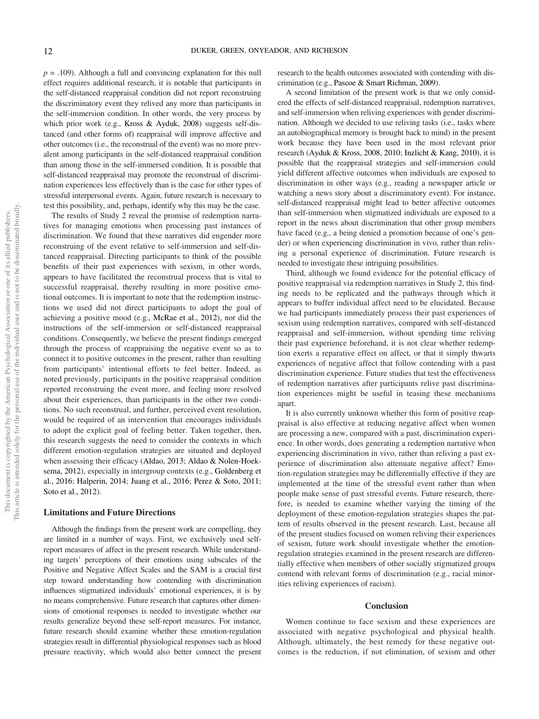$p = .109$ ). Although a full and convincing explanation for this null effect requires additional research, it is notable that participants in the self-distanced reappraisal condition did not report reconstruing the discriminatory event they relived any more than participants in the self-immersion condition. In other words, the very process by which prior work (e.g., Kross & Ayduk, 2008) suggests self-distanced (and other forms of) reappraisal will improve affective and other outcomes (i.e., the reconstrual of the event) was no more prevalent among participants in the self-distanced reappraisal condition than among those in the self-immersed condition. It is possible that self-distanced reappraisal may promote the reconstrual of discrimination experiences less effectively than is the case for other types of stressful interpersonal events. Again, future research is necessary to test this possibility, and, perhaps, identify why this may be the case.

The results of Study 2 reveal the promise of redemption narratives for managing emotions when processing past instances of discrimination. We found that these narratives did engender more reconstruing of the event relative to self-immersion and self-distanced reappraisal. Directing participants to think of the possible benefits of their past experiences with sexism, in other words, appears to have facilitated the reconstrual process that is vital to successful reappraisal, thereby resulting in more positive emotional outcomes. It is important to note that the redemption instructions we used did not direct participants to adopt the goal of achieving a positive mood (e.g., McRae et al., 2012), nor did the instructions of the self-immersion or self-distanced reappraisal conditions. Consequently, we believe the present findings emerged through the process of reappraising the negative event so as to connect it to positive outcomes in the present, rather than resulting from participants' intentional efforts to feel better. Indeed, as noted previously, participants in the positive reappraisal condition reported reconstruing the event more, and feeling more resolved about their experiences, than participants in the other two conditions. No such reconstrual, and further, perceived event resolution, would be required of an intervention that encourages individuals to adopt the explicit goal of feeling better. Taken together, then, this research suggests the need to consider the contexts in which different emotion-regulation strategies are situated and deployed when assessing their efficacy (Aldao, 2013; Aldao & Nolen-Hoeksema, 2012), especially in intergroup contexts (e.g., Goldenberg et al., 2016; Halperin, 2014; Juang et al., 2016; Perez & Soto, 2011; Soto et al., 2012).

#### Limitations and Future Directions

Although the findings from the present work are compelling, they are limited in a number of ways. First, we exclusively used selfreport measures of affect in the present research. While understanding targets' perceptions of their emotions using subscales of the Positive and Negative Affect Scales and the SAM is a crucial first step toward understanding how contending with discrimination influences stigmatized individuals' emotional experiences, it is by no means comprehensive. Future research that captures other dimensions of emotional responses is needed to investigate whether our results generalize beyond these self-report measures. For instance, future research should examine whether these emotion-regulation strategies result in differential physiological responses such as blood pressure reactivity, which would also better connect the present research to the health outcomes associated with contending with discrimination (e.g., Pascoe & Smart Richman, 2009).

A second limitation of the present work is that we only considered the effects of self-distanced reappraisal, redemption narratives, and self-immersion when reliving experiences with gender discrimination. Although we decided to use reliving tasks (i.e., tasks where an autobiographical memory is brought back to mind) in the present work because they have been used in the most relevant prior research (Ayduk & Kross, 2008, 2010; Inzlicht & Kang, 2010), it is possible that the reappraisal strategies and self-immersion could yield different affective outcomes when individuals are exposed to discrimination in other ways (e.g., reading a newspaper article or watching a news story about a discriminatory event). For instance, self-distanced reappraisal might lead to better affective outcomes than self-immersion when stigmatized individuals are exposed to a report in the news about discrimination that other group members have faced (e.g., a being denied a promotion because of one's gender) or when experiencing discrimination in vivo, rather than reliving a personal experience of discrimination. Future research is needed to investigate these intriguing possibilities.

Third, although we found evidence for the potential efficacy of positive reappraisal via redemption narratives in Study 2, this finding needs to be replicated and the pathways through which it appears to buffer individual affect need to be elucidated. Because we had participants immediately process their past experiences of sexism using redemption narratives, compared with self-distanced reappraisal and self-immersion, without spending time reliving their past experience beforehand, it is not clear whether redemption exerts a reparative effect on affect, or that it simply thwarts experiences of negative affect that follow contending with a past discrimination experience. Future studies that test the effectiveness of redemption narratives after participants relive past discrimination experiences might be useful in teasing these mechanisms apart.

It is also currently unknown whether this form of positive reappraisal is also effective at reducing negative affect when women are processing a new, compared with a past, discrimination experience. In other words, does generating a redemption narrative when experiencing discrimination in vivo, rather than reliving a past experience of discrimination also attenuate negative affect? Emotion-regulation strategies may be differentially effective if they are implemented at the time of the stressful event rather than when people make sense of past stressful events. Future research, therefore, is needed to examine whether varying the timing of the deployment of these emotion-regulation strategies shapes the pattern of results observed in the present research. Last, because all of the present studies focused on women reliving their experiences of sexism, future work should investigate whether the emotionregulation strategies examined in the present research are differentially effective when members of other socially stigmatized groups contend with relevant forms of discrimination (e.g., racial minorities reliving experiences of racism).

#### **Conclusion**

Women continue to face sexism and these experiences are associated with negative psychological and physical health. Although, ultimately, the best remedy for these negative outcomes is the reduction, if not elimination, of sexism and other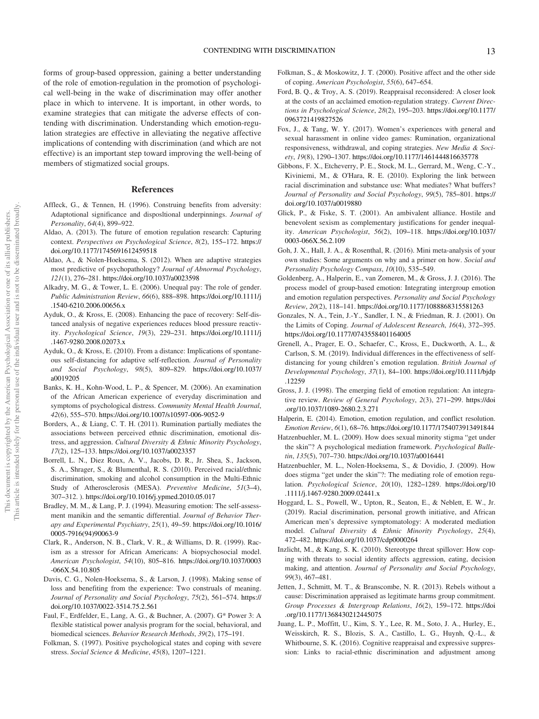forms of group-based oppression, gaining a better understanding of the role of emotion-regulation in the promotion of psychological well-being in the wake of discrimination may offer another place in which to intervene. It is important, in other words, to examine strategies that can mitigate the adverse effects of contending with discrimination. Understanding which emotion-regulation strategies are effective in alleviating the negative affective implications of contending with discrimination (and which are not effective) is an important step toward improving the well-being of members of stigmatized social groups.

#### References

- Affleck, G., & Tennen, H. (1996). Construing benefits from adversity: Adaptotional significance and disposltional underpinnings. Journal of Personality, 64(4), 899–922.
- Aldao, A. (2013). The future of emotion regulation research: Capturing context. Perspectives on Psychological Science, 8(2), 155–172. [https://](https://doi.org/10.1177/1745691612459518) [doi.org/10.1177/1745691612459518](https://doi.org/10.1177/1745691612459518)
- Aldao, A., & Nolen-Hoeksema, S. (2012). When are adaptive strategies most predictive of psychopathology? Journal of Abnormal Psychology, 121(1), 276–281. <https://doi.org/10.1037/a0023598>
- Alkadry, M. G., & Tower, L. E. (2006). Unequal pay: The role of gender. Public Administration Review, 66(6), 888–898. [https://doi.org/10.1111/j](https://doi.org/10.1111/j.1540-6210.2006.00656.x) [.1540-6210.2006.00656.x](https://doi.org/10.1111/j.1540-6210.2006.00656.x)
- Ayduk, O., & Kross, E. (2008). Enhancing the pace of recovery: Self-distanced analysis of negative experiences reduces blood pressure reactivity. Psychological Science, 19(3), 229–231. [https://doi.org/10.1111/j](https://doi.org/10.1111/j.1467-9280.2008.02073.x) [.1467-9280.2008.02073.x](https://doi.org/10.1111/j.1467-9280.2008.02073.x)
- Ayduk, O., & Kross, E. (2010). From a distance: Implications of spontaneous self-distancing for adaptive self-reflection. Journal of Personality and Social Psychology, 98(5), 809–829. [https://doi.org/10.1037/](https://doi.org/10.1037/a0019205) [a0019205](https://doi.org/10.1037/a0019205)
- Banks, K. H., Kohn-Wood, L. P., & Spencer, M. (2006). An examination of the African American experience of everyday discrimination and symptoms of psychological distress. Community Mental Health Journal, 42(6), 555–570. <https://doi.org/10.1007/s10597-006-9052-9>
- Borders, A., & Liang, C. T. H. (2011). Rumination partially mediates the associations between perceived ethnic discrimination, emotional distress, and aggression. Cultural Diversity & Ethnic Minority Psychology, 17(2), 125–133. <https://doi.org/10.1037/a0023357>
- Borrell, L. N., Diez Roux, A. V., Jacobs, D. R., Jr. Shea, S., Jackson, S. A., Shrager, S., & Blumenthal, R. S. (2010). Perceived racial/ethnic discrimination, smoking and alcohol consumption in the Multi-Ethnic Study of Atherosclerosis (MESA). Preventive Medicine, 51(3-4), 307–312. ). <https://doi.org/10.1016/j.ypmed.2010.05.017>
- Bradley, M. M., & Lang, P. J. (1994). Measuring emotion: The self-assessment manikin and the semantic differential. Journal of Behavior Therapy and Experimental Psychiatry, 25(1), 49–59. [https://doi.org/10.1016/](https://doi.org/10.1016/0005-7916(94)90063-9) [0005-7916\(94\)90063-9](https://doi.org/10.1016/0005-7916(94)90063-9)
- Clark, R., Anderson, N. B., Clark, V. R., & Williams, D. R. (1999). Racism as a stressor for African Americans: A biopsychosocial model. American Psychologist, 54(10), 805–816. [https://doi.org/10.1037/0003](https://doi.org/10.1037/0003-066X.54.10.805) [-066X.54.10.805](https://doi.org/10.1037/0003-066X.54.10.805)
- Davis, C. G., Nolen-Hoeksema, S., & Larson, J. (1998). Making sense of loss and benefiting from the experience: Two construals of meaning. Journal of Personality and Social Psychology, 75(2), 561–574. [https://](https://doi.org/10.1037/0022-3514.75.2.561) [doi.org/10.1037/0022-3514.75.2.561](https://doi.org/10.1037/0022-3514.75.2.561)
- Faul, F., Erdfelder, E., Lang, A. G., & Buchner, A. (2007). G\* Power 3: A flexible statistical power analysis program for the social, behavioral, and biomedical sciences. Behavior Research Methods, 39(2), 175–191.
- Folkman, S. (1997). Positive psychological states and coping with severe stress. Social Science & Medicine, 45(8), 1207–1221.
- Folkman, S., & Moskowitz, J. T. (2000). Positive affect and the other side of coping. American Psychologist, 55(6), 647–654.
- Ford, B. Q., & Troy, A. S. (2019). Reappraisal reconsidered: A closer look at the costs of an acclaimed emotion-regulation strategy. Current Directions in Psychological Science, 28(2), 195–203. [https://doi.org/10.1177/](https://doi.org/10.1177/0963721419827526) [0963721419827526](https://doi.org/10.1177/0963721419827526)
- Fox, J., & Tang, W. Y. (2017). Women's experiences with general and sexual harassment in online video games: Rumination, organizational responsiveness, withdrawal, and coping strategies. New Media & Society, 19(8), 1290–1307. <https://doi.org/10.1177/1461444816635778>
- Gibbons, F. X., Etcheverry, P. E., Stock, M. L., Gerrard, M., Weng, C.-Y., Kiviniemi, M., & O'Hara, R. E. (2010). Exploring the link between racial discrimination and substance use: What mediates? What buffers? Journal of Personality and Social Psychology, 99(5), 785–801. [https://](https://doi.org/10.1037/a0019880) [doi.org/10.1037/a0019880](https://doi.org/10.1037/a0019880)
- Glick, P., & Fiske, S. T. (2001). An ambivalent alliance. Hostile and benevolent sexism as complementary justifications for gender inequality. American Psychologist, 56(2), 109–118. [https://doi.org/10.1037/](https://doi.org/10.1037/0003-066X.56.2.109) [0003-066X.56.2.109](https://doi.org/10.1037/0003-066X.56.2.109)
- Goh, J. X., Hall, J. A., & Rosenthal, R. (2016). Mini meta-analysis of your own studies: Some arguments on why and a primer on how. Social and Personality Psychology Compass, 10(10), 535–549.
- Goldenberg, A., Halperin, E., van Zomeren, M., & Gross, J. J. (2016). The process model of group-based emotion: Integrating intergroup emotion and emotion regulation perspectives. Personality and Social Psychology Review, 20(2), 118–141. <https://doi.org/10.1177/1088868315581263>
- Gonzales, N. A., Tein, J.-Y., Sandler, I. N., & Friedman, R. J. (2001). On the Limits of Coping. Journal of Adolescent Research, 16(4), 372–395. <https://doi.org/10.1177/0743558401164005>
- Grenell, A., Prager, E. O., Schaefer, C., Kross, E., Duckworth, A. L., & Carlson, S. M. (2019). Individual differences in the effectiveness of selfdistancing for young children's emotion regulation. British Journal of Developmental Psychology, 37(1), 84–100. [https://doi.org/10.1111/bjdp](https://doi.org/10.1111/bjdp.12259) [.12259](https://doi.org/10.1111/bjdp.12259)
- Gross, J. J. (1998). The emerging field of emotion regulation: An integrative review. Review of General Psychology, 2(3), 271–299. [https://doi](https://doi.org/10.1037/1089-2680.2.3.271) [.org/10.1037/1089-2680.2.3.271](https://doi.org/10.1037/1089-2680.2.3.271)
- Halperin, E. (2014). Emotion, emotion regulation, and conflict resolution. Emotion Review, 6(1), 68–76. <https://doi.org/10.1177/1754073913491844>
- Hatzenbuehler, M. L. (2009). How does sexual minority stigma "get under the skin"? A psychological mediation framework. Psychological Bulletin, 135(5), 707–730. <https://doi.org/10.1037/a0016441>
- Hatzenbuehler, M. L., Nolen-Hoeksema, S., & Dovidio, J. (2009). How does stigma "get under the skin"?: The mediating role of emotion regulation. Psychological Science, 20(10), 1282–1289. [https://doi.org/10](https://doi.org/10.1111/j.1467-9280.2009.02441.x) [.1111/j.1467-9280.2009.02441.x](https://doi.org/10.1111/j.1467-9280.2009.02441.x)
- Hoggard, L. S., Powell, W., Upton, R., Seaton, E., & Neblett, E. W., Jr. (2019). Racial discrimination, personal growth initiative, and African American men's depressive symptomatology: A moderated mediation model. Cultural Diversity & Ethnic Minority Psychology, 25(4), 472–482. <https://doi.org/10.1037/cdp0000264>
- Inzlicht, M., & Kang, S. K. (2010). Stereotype threat spillover: How coping with threats to social identity affects aggression, eating, decision making, and attention. Journal of Personality and Social Psychology, 99(3), 467–481.
- Jetten, J., Schmitt, M. T., & Branscombe, N. R. (2013). Rebels without a cause: Discrimination appraised as legitimate harms group commitment. Group Processes & Intergroup Relations, 16(2), 159–172. [https://doi](https://doi.org/10.1177/1368430212445075) [.org/10.1177/1368430212445075](https://doi.org/10.1177/1368430212445075)
- Juang, L. P., Moffitt, U., Kim, S. Y., Lee, R. M., Soto, J. A., Hurley, E., Weisskirch, R. S., Blozis, S. A., Castillo, L. G., Huynh, Q.-L., & Whitbourne, S. K. (2016). Cognitive reappraisal and expressive suppression: Links to racial-ethnic discrimination and adjustment among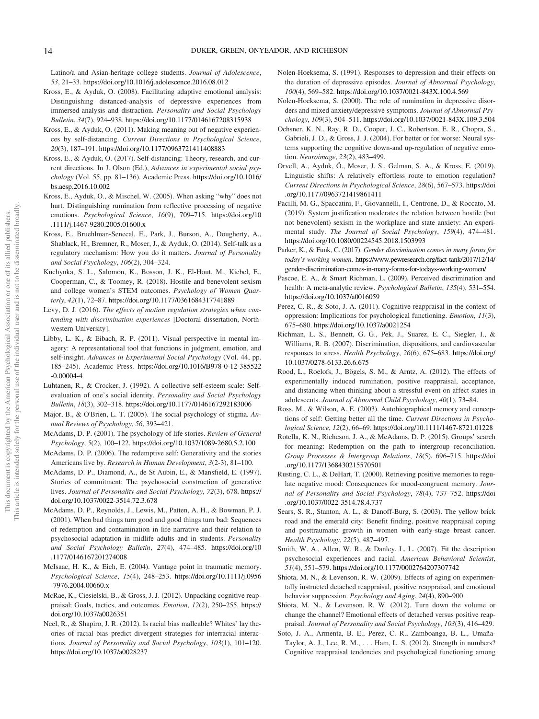Latino/a and Asian-heritage college students. Journal of Adolescence, 53, 21–33. <https://doi.org/10.1016/j.adolescence.2016.08.012>

- Kross, E., & Ayduk, O. (2008). Facilitating adaptive emotional analysis: Distinguishing distanced-analysis of depressive experiences from immersed-analysis and distraction. Personality and Social Psychology Bulletin, 34(7), 924–938. <https://doi.org/10.1177/0146167208315938>
- Kross, E., & Ayduk, O. (2011). Making meaning out of negative experiences by self-distancing. Current Directions in Psychological Science, 20(3), 187–191. <https://doi.org/10.1177/0963721411408883>
- Kross, E., & Ayduk, O. (2017). Self-distancing: Theory, research, and current directions. In J. Olson (Ed.), Advances in experimental social psychology (Vol. 55, pp. 81–136). Academic Press. [https://doi.org/10.1016/](https://doi.org/10.1016/bs.aesp.2016.10.002) [bs.aesp.2016.10.002](https://doi.org/10.1016/bs.aesp.2016.10.002)
- Kross, E., Ayduk, O., & Mischel, W. (2005). When asking "why" does not hurt. Distinguishing rumination from reflective processing of negative emotions. Psychological Science, 16(9), 709–715. [https://doi.org/10](https://doi.org/10.1111/j.1467-9280.2005.01600.x) [.1111/j.1467-9280.2005.01600.x](https://doi.org/10.1111/j.1467-9280.2005.01600.x)
- Kross, E., Bruehlman-Senecal, E., Park, J., Burson, A., Dougherty, A., Shablack, H., Bremner, R., Moser, J., & Ayduk, O. (2014). Self-talk as a regulatory mechanism: How you do it matters. Journal of Personality and Social Psychology, 106(2), 304–324.
- Kuchynka, S. L., Salomon, K., Bosson, J. K., El-Hout, M., Kiebel, E., Cooperman, C., & Toomey, R. (2018). Hostile and benevolent sexism and college women's STEM outcomes. Psychology of Women Quarterly, 42(1), 72–87. <https://doi.org/10.1177/0361684317741889>
- Levy, D. J. (2016). The effects of motion regulation strategies when contending with discrimination experiences [Doctoral dissertation, Northwestern University].
- Libby, L. K., & Eibach, R. P. (2011). Visual perspective in mental imagery: A representational tool that functions in judgment, emotion, and self-insight. Advances in Experimental Social Psychology (Vol. 44, pp. 185–245). Academic Press. [https://doi.org/10.1016/B978-0-12-385522](https://doi.org/10.1016/B978-0-12-385522-0.00004-4) [-0.00004-4](https://doi.org/10.1016/B978-0-12-385522-0.00004-4)
- Luhtanen, R., & Crocker, J. (1992). A collective self-esteem scale: Selfevaluation of one's social identity. Personality and Social Psychology Bulletin, 18(3), 302–318. <https://doi.org/10.1177/0146167292183006>
- Major, B., & O'Brien, L. T. (2005). The social psychology of stigma. Annual Reviews of Psychology, 56, 393–421.
- McAdams, D. P. (2001). The psychology of life stories. Review of General Psychology, 5(2), 100–122. <https://doi.org/10.1037/1089-2680.5.2.100>
- McAdams, D. P. (2006). The redemptive self: Generativity and the stories Americans live by. Research in Human Development, 3(2-3), 81–100.
- McAdams, D. P., Diamond, A., de St Aubin, E., & Mansfield, E. (1997). Stories of commitment: The psychosocial construction of generative lives. Journal of Personality and Social Psychology, 72(3), 678. [https://](https://doi.org/10.1037/0022-3514.72.3.678) [doi.org/10.1037/0022-3514.72.3.678](https://doi.org/10.1037/0022-3514.72.3.678)
- McAdams, D. P., Reynolds, J., Lewis, M., Patten, A. H., & Bowman, P. J. (2001). When bad things turn good and good things turn bad: Sequences of redemption and contamination in life narrative and their relation to psychosocial adaptation in midlife adults and in students. Personality and Social Psychology Bulletin, 27(4), 474–485. [https://doi.org/10](https://doi.org/10.1177/0146167201274008) [.1177/0146167201274008](https://doi.org/10.1177/0146167201274008)
- McIsaac, H. K., & Eich, E. (2004). Vantage point in traumatic memory. Psychological Science, 15(4), 248–253. [https://doi.org/10.1111/j.0956](https://doi.org/10.1111/j.0956-7976.2004.00660.x) [-7976.2004.00660.x](https://doi.org/10.1111/j.0956-7976.2004.00660.x)
- McRae, K., Ciesielski, B., & Gross, J. J. (2012). Unpacking cognitive reappraisal: Goals, tactics, and outcomes. Emotion, 12(2), 250–255. [https://](https://doi.org/10.1037/a0026351) [doi.org/10.1037/a0026351](https://doi.org/10.1037/a0026351)
- Neel, R., & Shapiro, J. R. (2012). Is racial bias malleable? Whites' lay theories of racial bias predict divergent strategies for interracial interactions. Journal of Personality and Social Psychology, 103(1), 101–120. <https://doi.org/10.1037/a0028237>
- Nolen-Hoeksema, S. (1991). Responses to depression and their effects on the duration of depressive episodes. Journal of Abnormal Psychology, 100(4), 569–582. <https://doi.org/10.1037/0021-843X.100.4.569>
- Nolen-Hoeksema, S. (2000). The role of rumination in depressive disorders and mixed anxiety/depressive symptoms. Journal of Abnormal Psychology, 109(3), 504–511. <https://doi.org/10.1037/0021-843X.109.3.504>
- Ochsner, K. N., Ray, R. D., Cooper, J. C., Robertson, E. R., Chopra, S., Gabrieli, J. D., & Gross, J. J. (2004). For better or for worse: Neural systems supporting the cognitive down-and up-regulation of negative emotion. Neuroimage, 23(2), 483–499.
- Orvell, A., Ayduk, Ö., Moser, J. S., Gelman, S. A., & Kross, E. (2019). Linguistic shifts: A relatively effortless route to emotion regulation? Current Directions in Psychological Science, 28(6), 567–573. [https://doi](https://doi.org/10.1177/0963721419861411) [.org/10.1177/0963721419861411](https://doi.org/10.1177/0963721419861411)
- Pacilli, M. G., Spaccatini, F., Giovannelli, I., Centrone, D., & Roccato, M. (2019). System justification moderates the relation between hostile (but not benevolent) sexism in the workplace and state anxiety: An experimental study. The Journal of Social Psychology, 159(4), 474–481. <https://doi.org/10.1080/00224545.2018.1503993>
- Parker, K., & Funk, C. (2017). Gender discrimination comes in many forms for today's working women. [https://www.pewresearch.org/fact-tank/2017/12/14/](https://www.pewresearch.org/fact-tank/2017/12/14/gender-discrimination-comes-in-many-forms-for-todays-working-women/) [gender-discrimination-comes-in-many-forms-for-todays-working-women/](https://www.pewresearch.org/fact-tank/2017/12/14/gender-discrimination-comes-in-many-forms-for-todays-working-women/)
- Pascoe, E. A., & Smart Richman, L. (2009). Perceived discrimination and health: A meta-analytic review. Psychological Bulletin, 135(4), 531–554. <https://doi.org/10.1037/a0016059>
- Perez, C. R., & Soto, J. A. (2011). Cognitive reappraisal in the context of oppression: Implications for psychological functioning. Emotion, 11(3), 675–680. <https://doi.org/10.1037/a0021254>
- Richman, L. S., Bennett, G. G., Pek, J., Suarez, E. C., Siegler, I., & Williams, R. B. (2007). Discrimination, dispositions, and cardiovascular responses to stress. Health Psychology, 26(6), 675–683. [https://doi.org/](https://doi.org/10.1037/0278-6133.26.6.675) [10.1037/0278-6133.26.6.675](https://doi.org/10.1037/0278-6133.26.6.675)
- Rood, L., Roelofs, J., Bögels, S. M., & Arntz, A. (2012). The effects of experimentally induced rumination, positive reappraisal, acceptance, and distancing when thinking about a stressful event on affect states in adolescents. Journal of Abnormal Child Psychology, 40(1), 73–84.
- Ross, M., & Wilson, A. E. (2003). Autobiographical memory and conceptions of self: Getting better all the time. Current Directions in Psychological Science, 12(2), 66–69. <https://doi.org/10.1111/1467-8721.01228>
- Rotella, K. N., Richeson, J. A., & McAdams, D. P. (2015). Groups' search for meaning: Redemption on the path to intergroup reconciliation. Group Processes & Intergroup Relations, 18(5), 696–715. [https://doi](https://doi.org/10.1177/1368430215570501) [.org/10.1177/1368430215570501](https://doi.org/10.1177/1368430215570501)
- Rusting, C. L., & DeHart, T. (2000). Retrieving positive memories to regulate negative mood: Consequences for mood-congruent memory. Journal of Personality and Social Psychology, 78(4), 737–752. [https://doi](https://doi.org/10.1037/0022-3514.78.4.737) [.org/10.1037/0022-3514.78.4.737](https://doi.org/10.1037/0022-3514.78.4.737)
- Sears, S. R., Stanton, A. L., & Danoff-Burg, S. (2003). The yellow brick road and the emerald city: Benefit finding, positive reappraisal coping and posttraumatic growth in women with early-stage breast cancer. Health Psychology, 22(5), 487–497.
- Smith, W. A., Allen, W. R., & Danley, L. L. (2007). Fit the description psychosocial experiences and racial. American Behavioral Scientist, 51(4), 551–579. <https://doi.org/10.1177/0002764207307742>
- Shiota, M. N., & Levenson, R. W. (2009). Effects of aging on experimentally instructed detached reappraisal, positive reappraisal, and emotional behavior suppression. Psychology and Aging, 24(4), 890–900.
- Shiota, M. N., & Levenson, R. W. (2012). Turn down the volume or change the channel? Emotional effects of detached versus positive reappraisal. Journal of Personality and Social Psychology, 103(3), 416–429.
- Soto, J. A., Armenta, B. E., Perez, C. R., Zamboanga, B. L., Umaña-Taylor, A. J., Lee, R. M., . . . Ham, L. S. (2012). Strength in numbers? Cognitive reappraisal tendencies and psychological functioning among